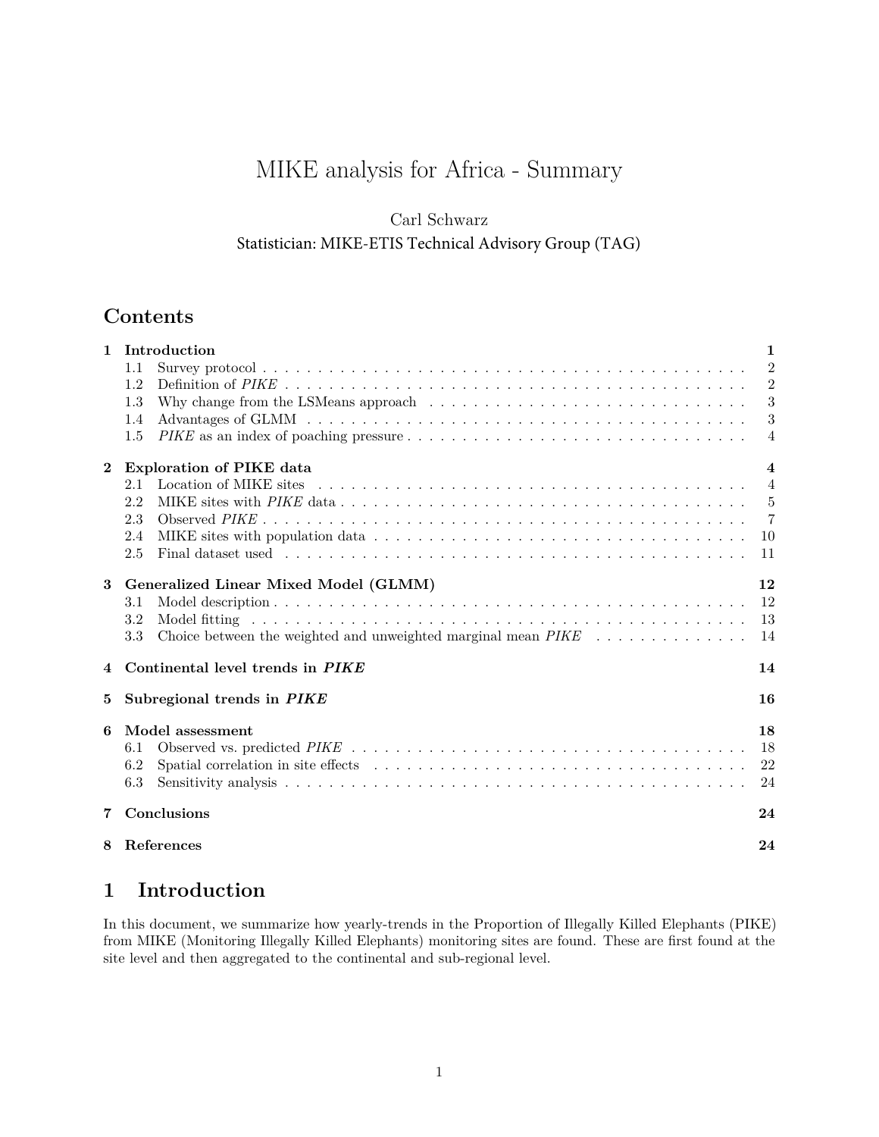# MIKE analysis for Africa - Summary

### Carl Schwarz

### Statistician: MIKE-ETIS Technical Advisory Group (TAG)

## **Contents**

| Introduction                                                                                                    | $\mathbf{1}$                                                                   |
|-----------------------------------------------------------------------------------------------------------------|--------------------------------------------------------------------------------|
| 1.1                                                                                                             | $\overline{2}$                                                                 |
| 1.2                                                                                                             | $\overline{2}$                                                                 |
| Why change from the LSMeans approach $\dots \dots \dots \dots \dots \dots \dots \dots \dots \dots \dots$<br>1.3 | 3                                                                              |
| 1.4                                                                                                             | 3                                                                              |
| 1.5                                                                                                             | $\overline{4}$                                                                 |
| <b>Exploration of PIKE data</b>                                                                                 | $\overline{4}$                                                                 |
| 2.1                                                                                                             | $\overline{4}$                                                                 |
| 2.2                                                                                                             | $-5$                                                                           |
| 2.3                                                                                                             | $\overline{7}$                                                                 |
| 2.4                                                                                                             | -10                                                                            |
| 2.5                                                                                                             | -11                                                                            |
|                                                                                                                 | 12                                                                             |
| 3.1                                                                                                             | 12                                                                             |
| 3.2                                                                                                             | 13                                                                             |
| 3.3                                                                                                             | 14                                                                             |
| Continental level trends in PIKE                                                                                | 14                                                                             |
| Subregional trends in PIKE                                                                                      | 16                                                                             |
|                                                                                                                 | 18                                                                             |
|                                                                                                                 | 18                                                                             |
|                                                                                                                 | 22                                                                             |
|                                                                                                                 | 24                                                                             |
|                                                                                                                 |                                                                                |
| Conclusions                                                                                                     | 24                                                                             |
| References                                                                                                      | 24                                                                             |
|                                                                                                                 | Generalized Linear Mixed Model (GLMM)<br>Model assessment<br>6.1<br>6.2<br>6.3 |

## <span id="page-0-0"></span>**1 Introduction**

In this document, we summarize how yearly-trends in the Proportion of Illegally Killed Elephants (PIKE) from MIKE (Monitoring Illegally Killed Elephants) monitoring sites are found. These are first found at the site level and then aggregated to the continental and sub-regional level.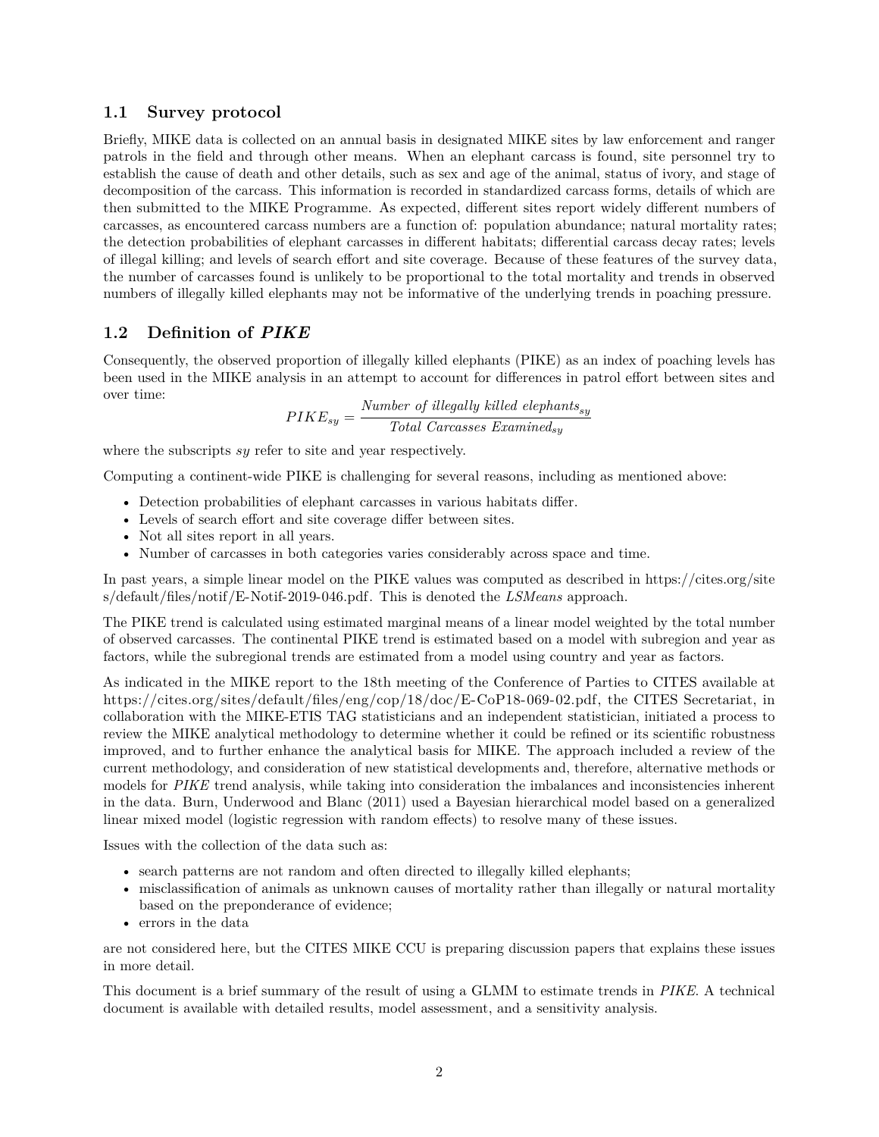#### <span id="page-1-0"></span>**1.1 Survey protocol**

Briefly, MIKE data is collected on an annual basis in designated MIKE sites by law enforcement and ranger patrols in the field and through other means. When an elephant carcass is found, site personnel try to establish the cause of death and other details, such as sex and age of the animal, status of ivory, and stage of decomposition of the carcass. This information is recorded in standardized carcass forms, details of which are then submitted to the MIKE Programme. As expected, different sites report widely different numbers of carcasses, as encountered carcass numbers are a function of: population abundance; natural mortality rates; the detection probabilities of elephant carcasses in different habitats; differential carcass decay rates; levels of illegal killing; and levels of search effort and site coverage. Because of these features of the survey data, the number of carcasses found is unlikely to be proportional to the total mortality and trends in observed numbers of illegally killed elephants may not be informative of the underlying trends in poaching pressure.

#### <span id="page-1-1"></span>**1.2 Definition of** *PIKE*

Consequently, the observed proportion of illegally killed elephants (PIKE) as an index of poaching levels has been used in the MIKE analysis in an attempt to account for differences in patrol effort between sites and over time:

$$
PIKE_{sy} = \frac{Number\ of\ illegally\ killed\ elephants_{sy}}{Total\ Carcases\ Reson{Example 2}} \label{eq:PIKE}
$$

where the subscripts *sy* refer to site and year respectively.

Computing a continent-wide PIKE is challenging for several reasons, including as mentioned above:

- Detection probabilities of elephant carcasses in various habitats differ.
- Levels of search effort and site coverage differ between sites.
- Not all sites report in all years.
- Number of carcasses in both categories varies considerably across space and time.

In past years, a simple linear model on the PIKE values was computed as described in [https://cites.org/site](https://cites.org/sites/default/files/notif/E-Notif-2019-046.pdf) [s/default/files/notif/E-Notif-2019-046.pdf.](https://cites.org/sites/default/files/notif/E-Notif-2019-046.pdf) This is denoted the *LSMeans* approach.

The PIKE trend is calculated using estimated marginal means of a linear model weighted by the total number of observed carcasses. The continental PIKE trend is estimated based on a model with subregion and year as factors, while the subregional trends are estimated from a model using country and year as factors.

As indicated in the MIKE report to the 18th meeting of the Conference of Parties to CITES available at [https://cites.org/sites/default/files/eng/cop/18/doc/E-CoP18-069-02.pdf,](https://cites.org/sites/default/files/eng/cop/18/doc/E-CoP18-069-02.pdf) the CITES Secretariat, in collaboration with the MIKE-ETIS TAG statisticians and an independent statistician, initiated a process to review the MIKE analytical methodology to determine whether it could be refined or its scientific robustness improved, and to further enhance the analytical basis for MIKE. The approach included a review of the current methodology, and consideration of new statistical developments and, therefore, alternative methods or models for *PIKE* trend analysis, while taking into consideration the imbalances and inconsistencies inherent in the data. Burn, Underwood and Blanc (2011) used a Bayesian hierarchical model based on a generalized linear mixed model (logistic regression with random effects) to resolve many of these issues.

Issues with the collection of the data such as:

- search patterns are not random and often directed to illegally killed elephants;
- misclassification of animals as unknown causes of mortality rather than illegally or natural mortality based on the preponderance of evidence;
- errors in the data

are not considered here, but the CITES MIKE CCU is preparing discussion papers that explains these issues in more detail.

This document is a brief summary of the result of using a GLMM to estimate trends in *PIKE*. A technical document is available with detailed results, model assessment, and a sensitivity analysis.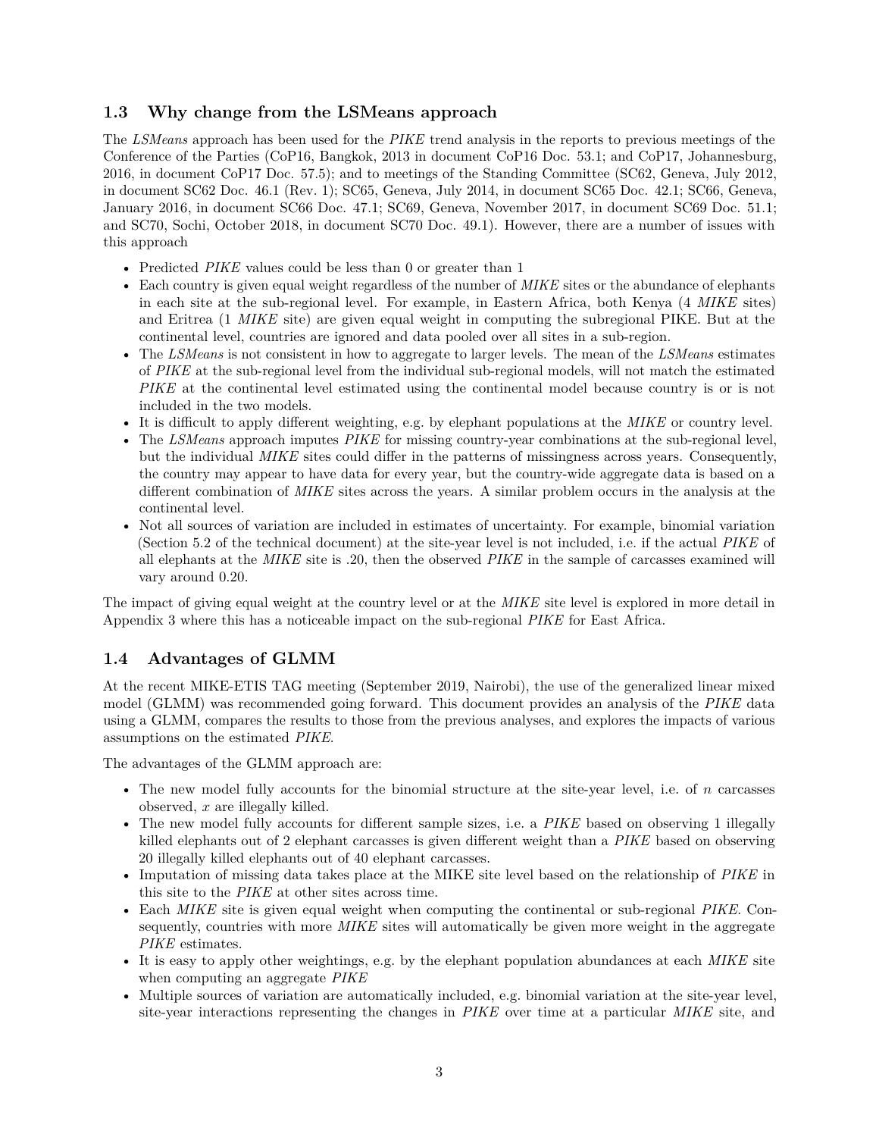### <span id="page-2-0"></span>**1.3 Why change from the LSMeans approach**

The *LSMeans* approach has been used for the *PIKE* trend analysis in the reports to previous meetings of the Conference of the Parties (CoP16, Bangkok, 2013 in document CoP16 Doc. 53.1; and CoP17, Johannesburg, 2016, in document CoP17 Doc. 57.5); and to meetings of the Standing Committee (SC62, Geneva, July 2012, in document SC62 Doc. 46.1 (Rev. 1); SC65, Geneva, July 2014, in document SC65 Doc. 42.1; SC66, Geneva, January 2016, in document SC66 Doc. 47.1; SC69, Geneva, November 2017, in document SC69 Doc. 51.1; and SC70, Sochi, October 2018, in document SC70 Doc. 49.1). However, there are a number of issues with this approach

- Predicted *PIKE* values could be less than 0 or greater than 1
- Each country is given equal weight regardless of the number of *MIKE* sites or the abundance of elephants in each site at the sub-regional level. For example, in Eastern Africa, both Kenya (4 *MIKE* sites) and Eritrea (1 *MIKE* site) are given equal weight in computing the subregional PIKE. But at the continental level, countries are ignored and data pooled over all sites in a sub-region.
- The *LSMeans* is not consistent in how to aggregate to larger levels. The mean of the *LSMeans* estimates of *PIKE* at the sub-regional level from the individual sub-regional models, will not match the estimated *PIKE* at the continental level estimated using the continental model because country is or is not included in the two models.
- It is difficult to apply different weighting, e.g. by elephant populations at the *MIKE* or country level.
- The *LSMeans* approach imputes *PIKE* for missing country-year combinations at the sub-regional level, but the individual *MIKE* sites could differ in the patterns of missingness across years. Consequently, the country may appear to have data for every year, but the country-wide aggregate data is based on a different combination of *MIKE* sites across the years. A similar problem occurs in the analysis at the continental level.
- Not all sources of variation are included in estimates of uncertainty. For example, binomial variation (Section 5.2 of the technical document) at the site-year level is not included, i.e. if the actual *PIKE* of all elephants at the *MIKE* site is .20, then the observed *PIKE* in the sample of carcasses examined will vary around 0.20.

The impact of giving equal weight at the country level or at the *MIKE* site level is explored in more detail in Appendix 3 where this has a noticeable impact on the sub-regional *PIKE* for East Africa.

### <span id="page-2-1"></span>**1.4 Advantages of GLMM**

At the recent MIKE-ETIS TAG meeting (September 2019, Nairobi), the use of the generalized linear mixed model (GLMM) was recommended going forward. This document provides an analysis of the *PIKE* data using a GLMM, compares the results to those from the previous analyses, and explores the impacts of various assumptions on the estimated *PIKE*.

The advantages of the GLMM approach are:

- The new model fully accounts for the binomial structure at the site-year level, i.e. of *n* carcasses observed, *x* are illegally killed.
- The new model fully accounts for different sample sizes, i.e. a *PIKE* based on observing 1 illegally killed elephants out of 2 elephant carcasses is given different weight than a *PIKE* based on observing 20 illegally killed elephants out of 40 elephant carcasses.
- Imputation of missing data takes place at the MIKE site level based on the relationship of *PIKE* in this site to the *PIKE* at other sites across time.
- Each *MIKE* site is given equal weight when computing the continental or sub-regional *PIKE*. Consequently, countries with more *MIKE* sites will automatically be given more weight in the aggregate *PIKE* estimates.
- It is easy to apply other weightings, e.g. by the elephant population abundances at each *MIKE* site when computing an aggregate *PIKE*
- Multiple sources of variation are automatically included, e.g. binomial variation at the site-year level, site-year interactions representing the changes in *PIKE* over time at a particular *MIKE* site, and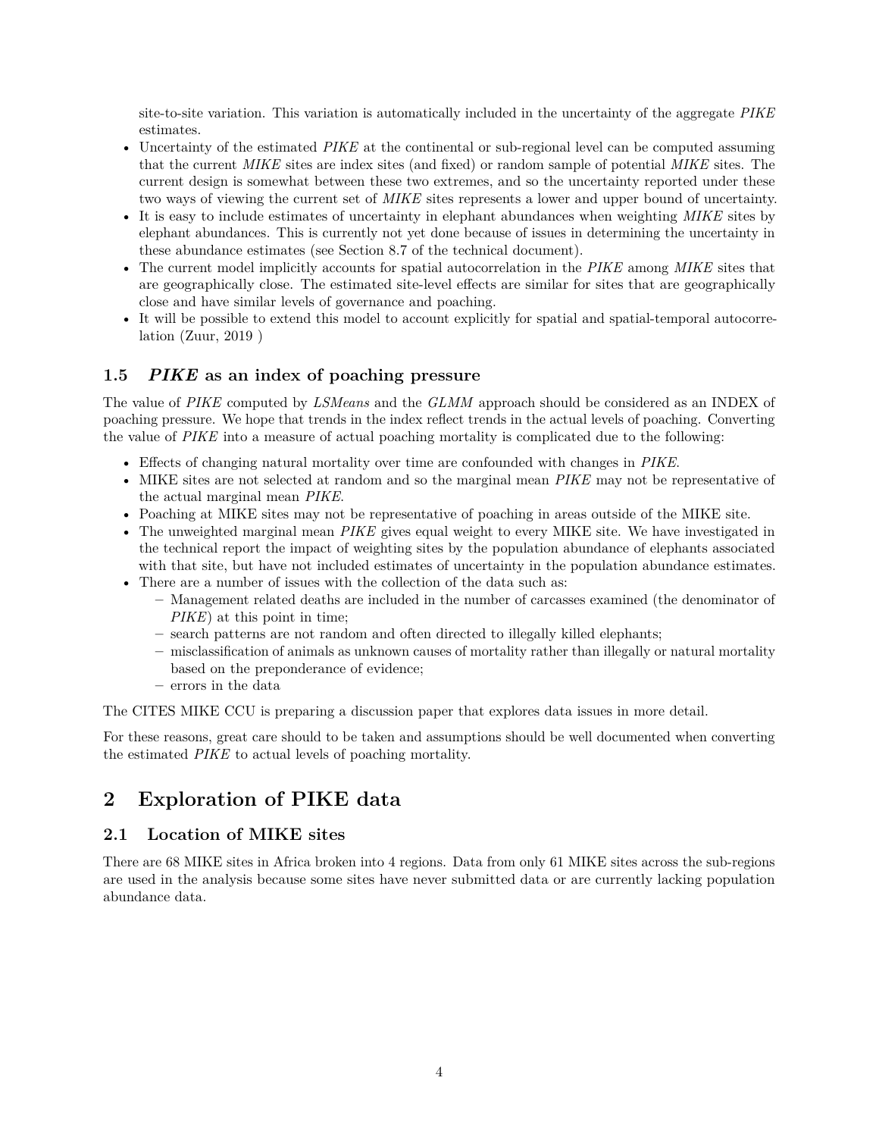site-to-site variation. This variation is automatically included in the uncertainty of the aggregate *PIKE* estimates.

- Uncertainty of the estimated *PIKE* at the continental or sub-regional level can be computed assuming that the current *MIKE* sites are index sites (and fixed) or random sample of potential *MIKE* sites. The current design is somewhat between these two extremes, and so the uncertainty reported under these two ways of viewing the current set of *MIKE* sites represents a lower and upper bound of uncertainty.
- It is easy to include estimates of uncertainty in elephant abundances when weighting *MIKE* sites by elephant abundances. This is currently not yet done because of issues in determining the uncertainty in these abundance estimates (see Section 8.7 of the technical document).
- The current model implicitly accounts for spatial autocorrelation in the *PIKE* among *MIKE* sites that are geographically close. The estimated site-level effects are similar for sites that are geographically close and have similar levels of governance and poaching.
- It will be possible to extend this model to account explicitly for spatial and spatial-temporal autocorrelation (Zuur, 2019 )

### <span id="page-3-0"></span>**1.5** *PIKE* **as an index of poaching pressure**

The value of *PIKE* computed by *LSMeans* and the *GLMM* approach should be considered as an INDEX of poaching pressure. We hope that trends in the index reflect trends in the actual levels of poaching. Converting the value of *PIKE* into a measure of actual poaching mortality is complicated due to the following:

- Effects of changing natural mortality over time are confounded with changes in *PIKE*.
- MIKE sites are not selected at random and so the marginal mean *PIKE* may not be representative of the actual marginal mean *PIKE*.
- Poaching at MIKE sites may not be representative of poaching in areas outside of the MIKE site.
- The unweighted marginal mean *PIKE* gives equal weight to every MIKE site. We have investigated in the technical report the impact of weighting sites by the population abundance of elephants associated with that site, but have not included estimates of uncertainty in the population abundance estimates.
- There are a number of issues with the collection of the data such as:
	- **–** Management related deaths are included in the number of carcasses examined (the denominator of *PIKE*) at this point in time;
	- **–** search patterns are not random and often directed to illegally killed elephants;
	- **–** misclassification of animals as unknown causes of mortality rather than illegally or natural mortality based on the preponderance of evidence;
	- **–** errors in the data

The CITES MIKE CCU is preparing a discussion paper that explores data issues in more detail.

For these reasons, great care should to be taken and assumptions should be well documented when converting the estimated *PIKE* to actual levels of poaching mortality.

## <span id="page-3-1"></span>**2 Exploration of PIKE data**

### <span id="page-3-2"></span>**2.1 Location of MIKE sites**

There are 68 MIKE sites in Africa broken into 4 regions. Data from only 61 MIKE sites across the sub-regions are used in the analysis because some sites have never submitted data or are currently lacking population abundance data.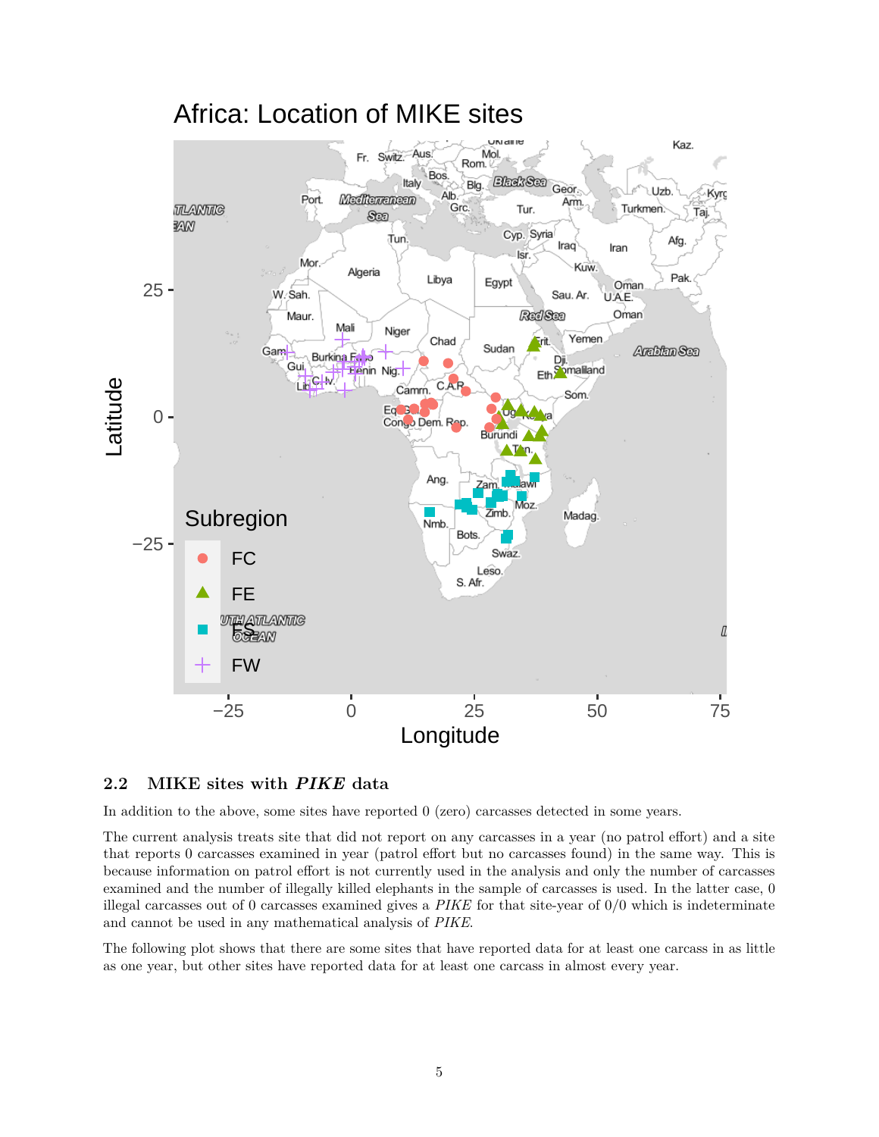

#### <span id="page-4-0"></span>**2.2 MIKE sites with** *PIKE* **data**

In addition to the above, some sites have reported 0 (zero) carcasses detected in some years.

The current analysis treats site that did not report on any carcasses in a year (no patrol effort) and a site that reports 0 carcasses examined in year (patrol effort but no carcasses found) in the same way. This is because information on patrol effort is not currently used in the analysis and only the number of carcasses examined and the number of illegally killed elephants in the sample of carcasses is used. In the latter case, 0 illegal carcasses out of 0 carcasses examined gives a *PIKE* for that site-year of 0/0 which is indeterminate and cannot be used in any mathematical analysis of *PIKE*.

The following plot shows that there are some sites that have reported data for at least one carcass in as little as one year, but other sites have reported data for at least one carcass in almost every year.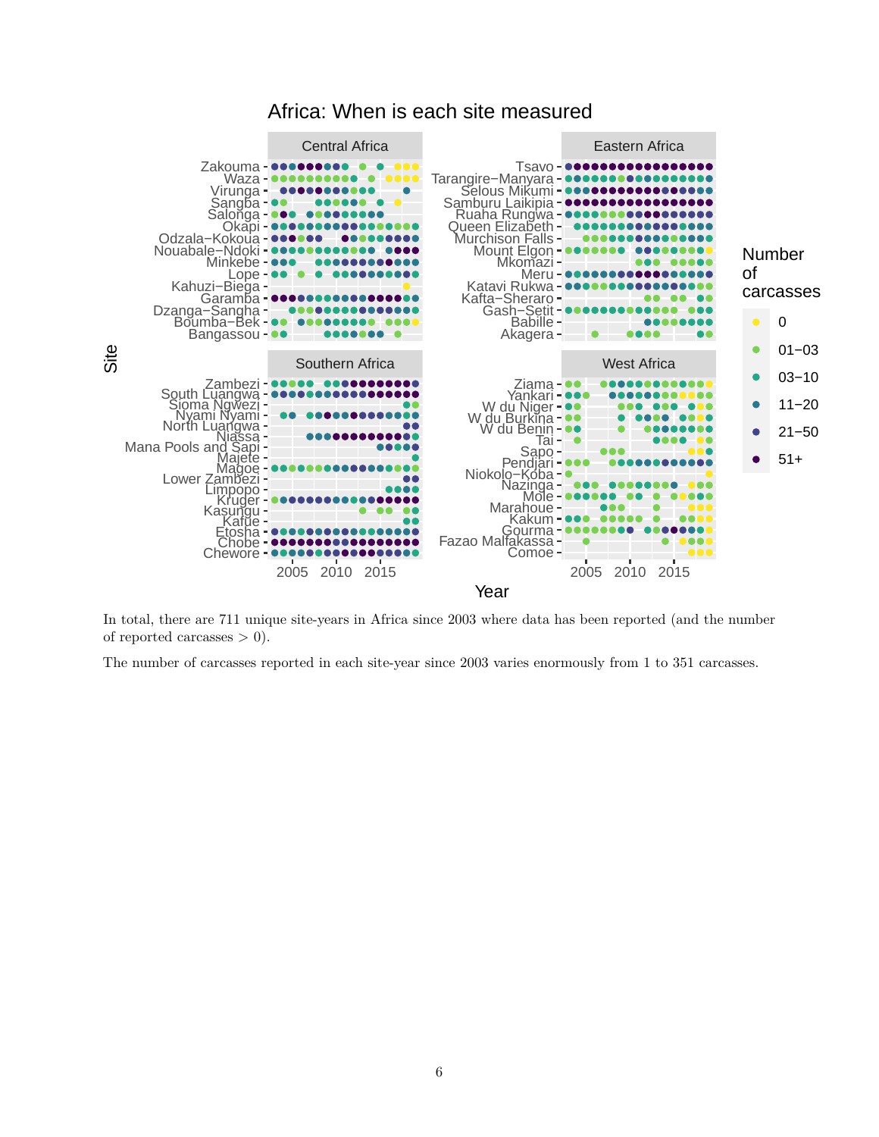

### Africa: When is each site measured

In total, there are 711 unique site-years in Africa since 2003 where data has been reported (and the number of reported carcasses  $> 0$ ).

The number of carcasses reported in each site-year since 2003 varies enormously from 1 to 351 carcasses.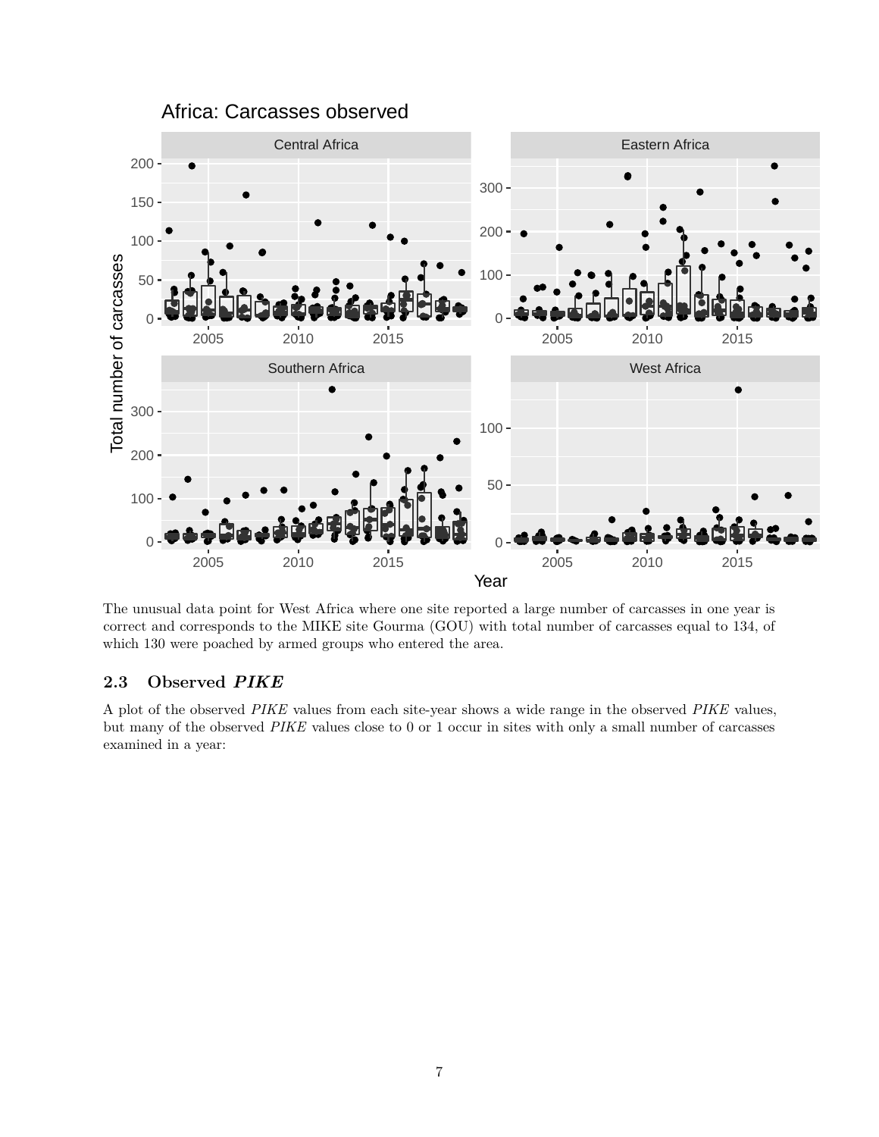

The unusual data point for West Africa where one site reported a large number of carcasses in one year is correct and corresponds to the MIKE site Gourma (GOU) with total number of carcasses equal to 134, of which 130 were poached by armed groups who entered the area.

### <span id="page-6-0"></span>**2.3 Observed** *PIKE*

A plot of the observed *PIKE* values from each site-year shows a wide range in the observed *PIKE* values, but many of the observed *PIKE* values close to 0 or 1 occur in sites with only a small number of carcasses examined in a year: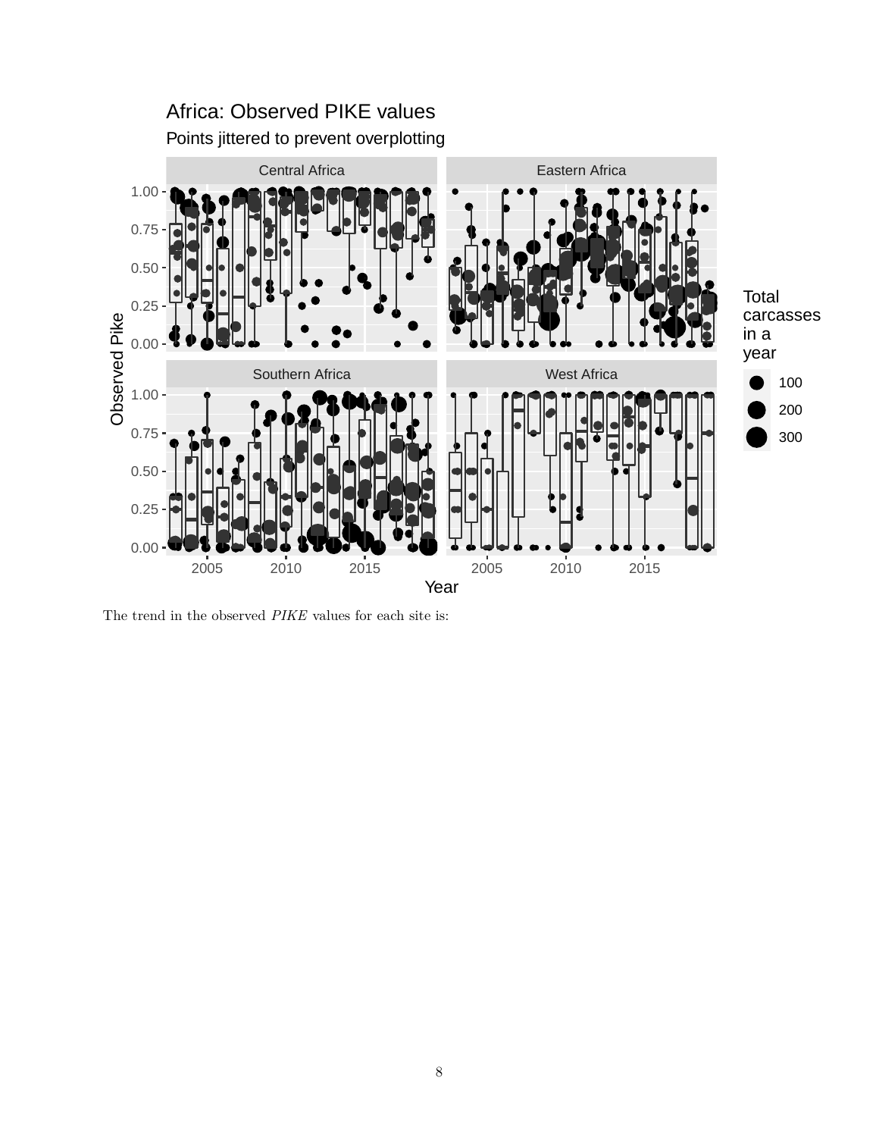

The trend in the observed *PIKE* values for each site is: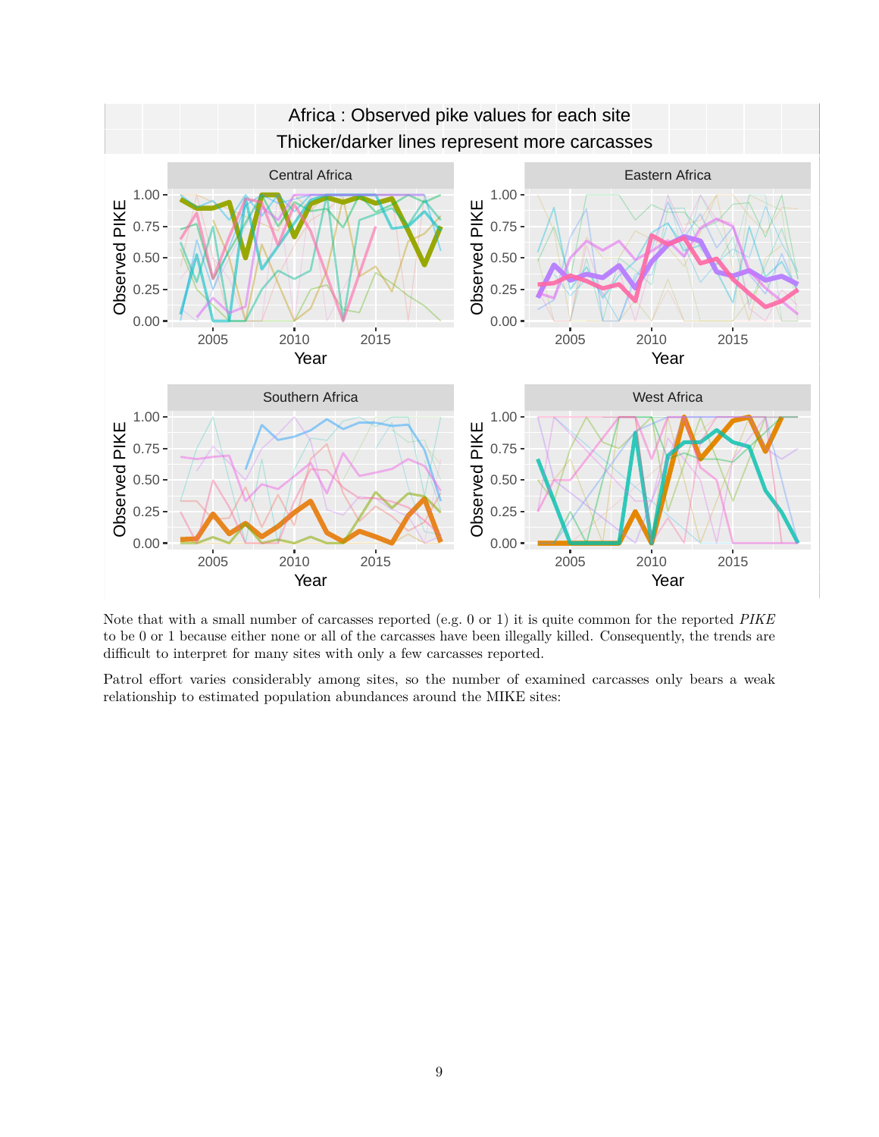

Note that with a small number of carcasses reported (e.g. 0 or 1) it is quite common for the reported *PIKE* to be 0 or 1 because either none or all of the carcasses have been illegally killed. Consequently, the trends are difficult to interpret for many sites with only a few carcasses reported.

Patrol effort varies considerably among sites, so the number of examined carcasses only bears a weak relationship to estimated population abundances around the MIKE sites: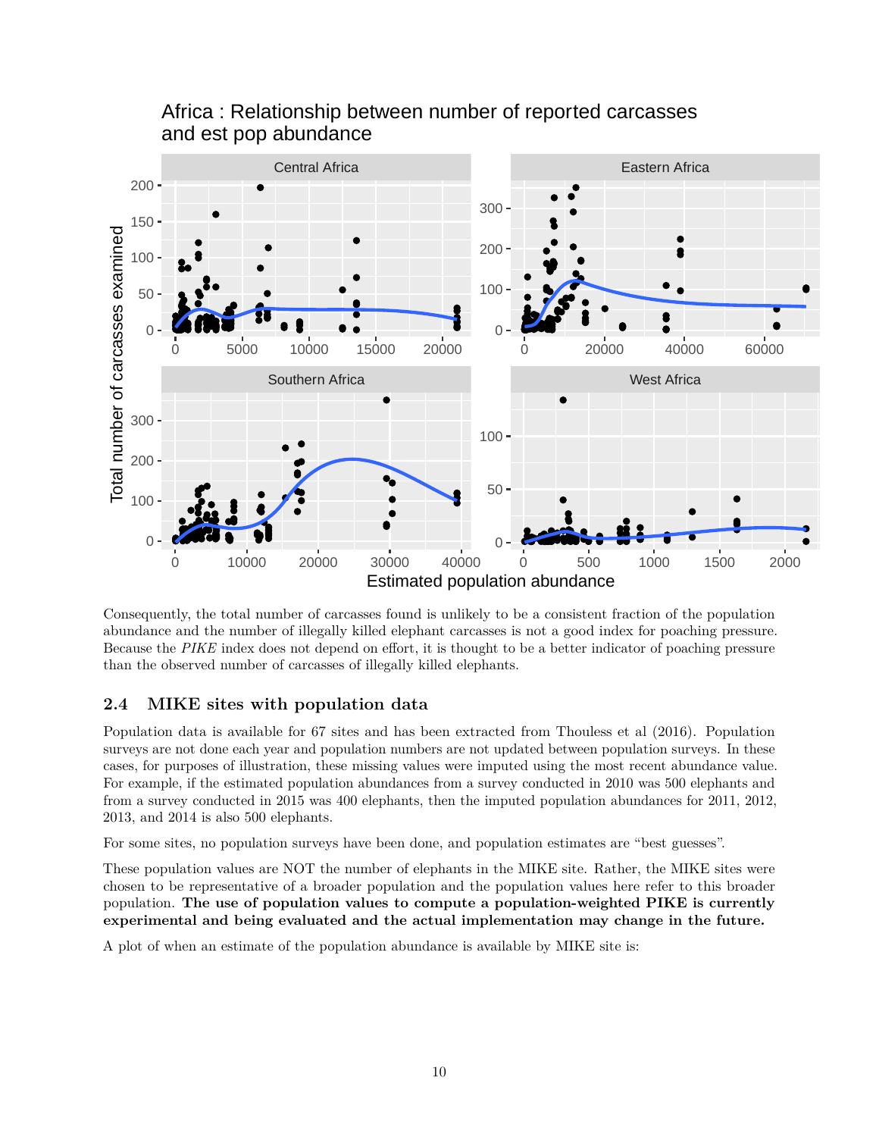

## Africa : Relationship between number of reported carcasses and est pop abundance

Consequently, the total number of carcasses found is unlikely to be a consistent fraction of the population abundance and the number of illegally killed elephant carcasses is not a good index for poaching pressure. Because the *PIKE* index does not depend on effort, it is thought to be a better indicator of poaching pressure than the observed number of carcasses of illegally killed elephants.

### <span id="page-9-0"></span>**2.4 MIKE sites with population data**

Population data is available for 67 sites and has been extracted from Thouless et al (2016). Population surveys are not done each year and population numbers are not updated between population surveys. In these cases, for purposes of illustration, these missing values were imputed using the most recent abundance value. For example, if the estimated population abundances from a survey conducted in 2010 was 500 elephants and from a survey conducted in 2015 was 400 elephants, then the imputed population abundances for 2011, 2012, 2013, and 2014 is also 500 elephants.

For some sites, no population surveys have been done, and population estimates are "best guesses".

These population values are NOT the number of elephants in the MIKE site. Rather, the MIKE sites were chosen to be representative of a broader population and the population values here refer to this broader population. **The use of population values to compute a population-weighted PIKE is currently experimental and being evaluated and the actual implementation may change in the future.**

A plot of when an estimate of the population abundance is available by MIKE site is: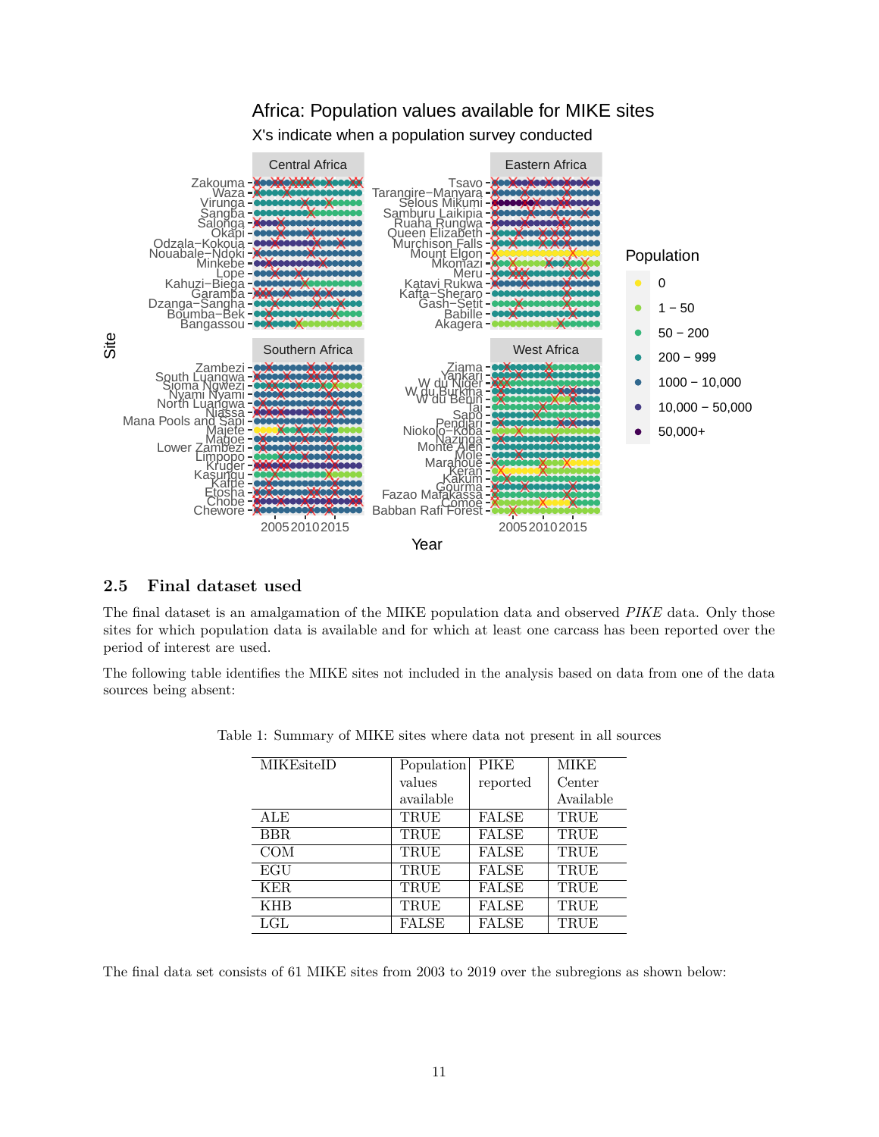

X's indicate when a population survey conducted



#### <span id="page-10-0"></span>**2.5 Final dataset used**

The final dataset is an amalgamation of the MIKE population data and observed *PIKE* data. Only those sites for which population data is available and for which at least one carcass has been reported over the period of interest are used.

The following table identifies the MIKE sites not included in the analysis based on data from one of the data sources being absent:

| <b>MIKEsiteID</b> | Population | <b>PIKE</b>  | <b>MIKE</b> |
|-------------------|------------|--------------|-------------|
|                   | values     | reported     | Center      |
|                   | available  |              | Available   |
| ALE               | TRUE       | <b>FALSE</b> | TRUE        |
| BBR.              | TRUE       | <b>FALSE</b> | TRUE        |
| <b>COM</b>        | TRUE       | <b>FALSE</b> | TRUE        |
| EGU               | TRUE       | <b>FALSE</b> | TRUE        |
| KER.              | TRUE       | <b>FALSE</b> | TRUE        |
| <b>KHB</b>        | TRUE       | <b>FALSE</b> | TRUE        |
| LGL               | FALSE      | <b>FALSE</b> | TRUE        |

Table 1: Summary of MIKE sites where data not present in all sources

The final data set consists of 61 MIKE sites from 2003 to 2019 over the subregions as shown below: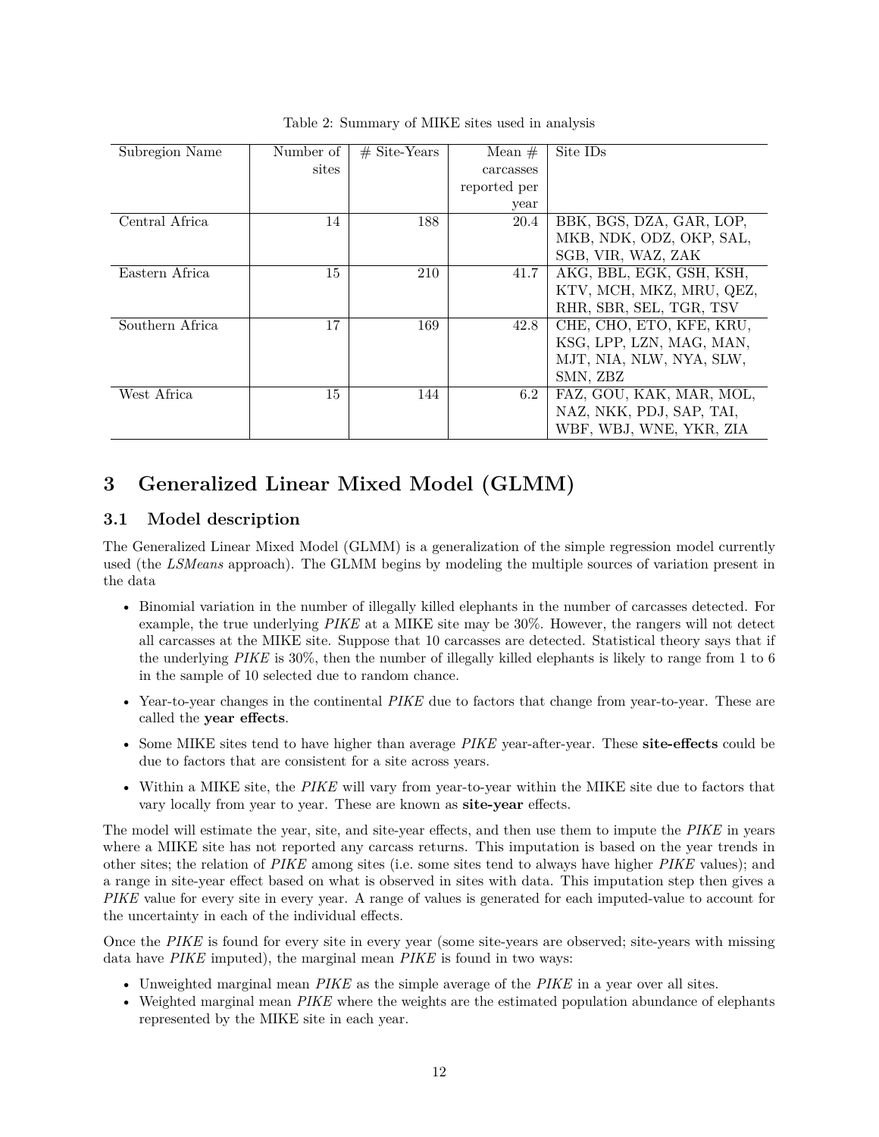| Subregion Name  | Number of | $#$ Site-Years | Mean $#$     | Site ID <sub>s</sub>     |
|-----------------|-----------|----------------|--------------|--------------------------|
|                 |           |                |              |                          |
|                 | sites     |                | carcasses    |                          |
|                 |           |                | reported per |                          |
|                 |           |                | year         |                          |
| Central Africa  | 14        | 188            | 20.4         | BBK, BGS, DZA, GAR, LOP, |
|                 |           |                |              | MKB, NDK, ODZ, OKP, SAL, |
|                 |           |                |              | SGB, VIR, WAZ, ZAK       |
| Eastern Africa  | 15        | 210            | 41.7         | AKG, BBL, EGK, GSH, KSH, |
|                 |           |                |              | KTV, MCH, MKZ, MRU, QEZ, |
|                 |           |                |              | RHR, SBR, SEL, TGR, TSV  |
| Southern Africa | 17        | 169            | 42.8         | CHE, CHO, ETO, KFE, KRU, |
|                 |           |                |              | KSG, LPP, LZN, MAG, MAN, |
|                 |           |                |              | MJT, NIA, NLW, NYA, SLW, |
|                 |           |                |              | SMN, ZBZ                 |
| West Africa     | 15        | 144            | 6.2          | FAZ, GOU, KAK, MAR, MOL, |
|                 |           |                |              | NAZ, NKK, PDJ, SAP, TAI, |
|                 |           |                |              | WBF, WBJ, WNE, YKR, ZIA  |

Table 2: Summary of MIKE sites used in analysis

## <span id="page-11-0"></span>**3 Generalized Linear Mixed Model (GLMM)**

### <span id="page-11-1"></span>**3.1 Model description**

The Generalized Linear Mixed Model (GLMM) is a generalization of the simple regression model currently used (the *LSMeans* approach). The GLMM begins by modeling the multiple sources of variation present in the data

- Binomial variation in the number of illegally killed elephants in the number of carcasses detected. For example, the true underlying *PIKE* at a MIKE site may be 30%. However, the rangers will not detect all carcasses at the MIKE site. Suppose that 10 carcasses are detected. Statistical theory says that if the underlying *PIKE* is 30%, then the number of illegally killed elephants is likely to range from 1 to 6 in the sample of 10 selected due to random chance.
- Year-to-year changes in the continental *PIKE* due to factors that change from year-to-year. These are called the **year effects**.
- Some MIKE sites tend to have higher than average *PIKE* year-after-year. These **site-effects** could be due to factors that are consistent for a site across years.
- Within a MIKE site, the *PIKE* will vary from year-to-year within the MIKE site due to factors that vary locally from year to year. These are known as **site-year** effects.

The model will estimate the year, site, and site-year effects, and then use them to impute the *PIKE* in years where a MIKE site has not reported any carcass returns. This imputation is based on the year trends in other sites; the relation of *PIKE* among sites (i.e. some sites tend to always have higher *PIKE* values); and a range in site-year effect based on what is observed in sites with data. This imputation step then gives a *PIKE* value for every site in every year. A range of values is generated for each imputed-value to account for the uncertainty in each of the individual effects.

Once the *PIKE* is found for every site in every year (some site-years are observed; site-years with missing data have *PIKE* imputed), the marginal mean *PIKE* is found in two ways:

- Unweighted marginal mean *PIKE* as the simple average of the *PIKE* in a year over all sites.
- Weighted marginal mean *PIKE* where the weights are the estimated population abundance of elephants represented by the MIKE site in each year.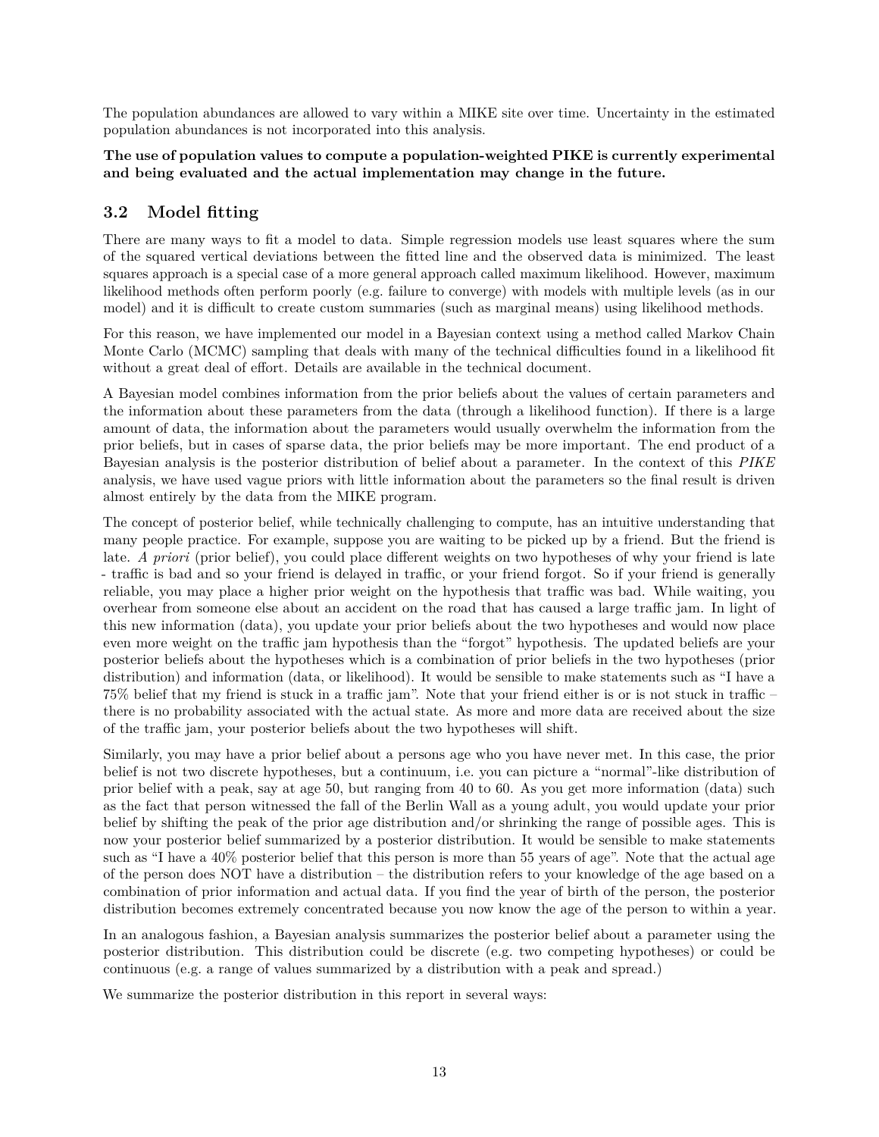The population abundances are allowed to vary within a MIKE site over time. Uncertainty in the estimated population abundances is not incorporated into this analysis.

#### **The use of population values to compute a population-weighted PIKE is currently experimental and being evaluated and the actual implementation may change in the future.**

### <span id="page-12-0"></span>**3.2 Model fitting**

There are many ways to fit a model to data. Simple regression models use least squares where the sum of the squared vertical deviations between the fitted line and the observed data is minimized. The least squares approach is a special case of a more general approach called maximum likelihood. However, maximum likelihood methods often perform poorly (e.g. failure to converge) with models with multiple levels (as in our model) and it is difficult to create custom summaries (such as marginal means) using likelihood methods.

For this reason, we have implemented our model in a Bayesian context using a method called Markov Chain Monte Carlo (MCMC) sampling that deals with many of the technical difficulties found in a likelihood fit without a great deal of effort. Details are available in the technical document.

A Bayesian model combines information from the prior beliefs about the values of certain parameters and the information about these parameters from the data (through a likelihood function). If there is a large amount of data, the information about the parameters would usually overwhelm the information from the prior beliefs, but in cases of sparse data, the prior beliefs may be more important. The end product of a Bayesian analysis is the posterior distribution of belief about a parameter. In the context of this *PIKE* analysis, we have used vague priors with little information about the parameters so the final result is driven almost entirely by the data from the MIKE program.

The concept of posterior belief, while technically challenging to compute, has an intuitive understanding that many people practice. For example, suppose you are waiting to be picked up by a friend. But the friend is late. *A priori* (prior belief), you could place different weights on two hypotheses of why your friend is late - traffic is bad and so your friend is delayed in traffic, or your friend forgot. So if your friend is generally reliable, you may place a higher prior weight on the hypothesis that traffic was bad. While waiting, you overhear from someone else about an accident on the road that has caused a large traffic jam. In light of this new information (data), you update your prior beliefs about the two hypotheses and would now place even more weight on the traffic jam hypothesis than the "forgot" hypothesis. The updated beliefs are your posterior beliefs about the hypotheses which is a combination of prior beliefs in the two hypotheses (prior distribution) and information (data, or likelihood). It would be sensible to make statements such as "I have a 75% belief that my friend is stuck in a traffic jam". Note that your friend either is or is not stuck in traffic – there is no probability associated with the actual state. As more and more data are received about the size of the traffic jam, your posterior beliefs about the two hypotheses will shift.

Similarly, you may have a prior belief about a persons age who you have never met. In this case, the prior belief is not two discrete hypotheses, but a continuum, i.e. you can picture a "normal"-like distribution of prior belief with a peak, say at age 50, but ranging from 40 to 60. As you get more information (data) such as the fact that person witnessed the fall of the Berlin Wall as a young adult, you would update your prior belief by shifting the peak of the prior age distribution and/or shrinking the range of possible ages. This is now your posterior belief summarized by a posterior distribution. It would be sensible to make statements such as "I have a 40% posterior belief that this person is more than 55 years of age". Note that the actual age of the person does NOT have a distribution – the distribution refers to your knowledge of the age based on a combination of prior information and actual data. If you find the year of birth of the person, the posterior distribution becomes extremely concentrated because you now know the age of the person to within a year.

In an analogous fashion, a Bayesian analysis summarizes the posterior belief about a parameter using the posterior distribution. This distribution could be discrete (e.g. two competing hypotheses) or could be continuous (e.g. a range of values summarized by a distribution with a peak and spread.)

We summarize the posterior distribution in this report in several ways: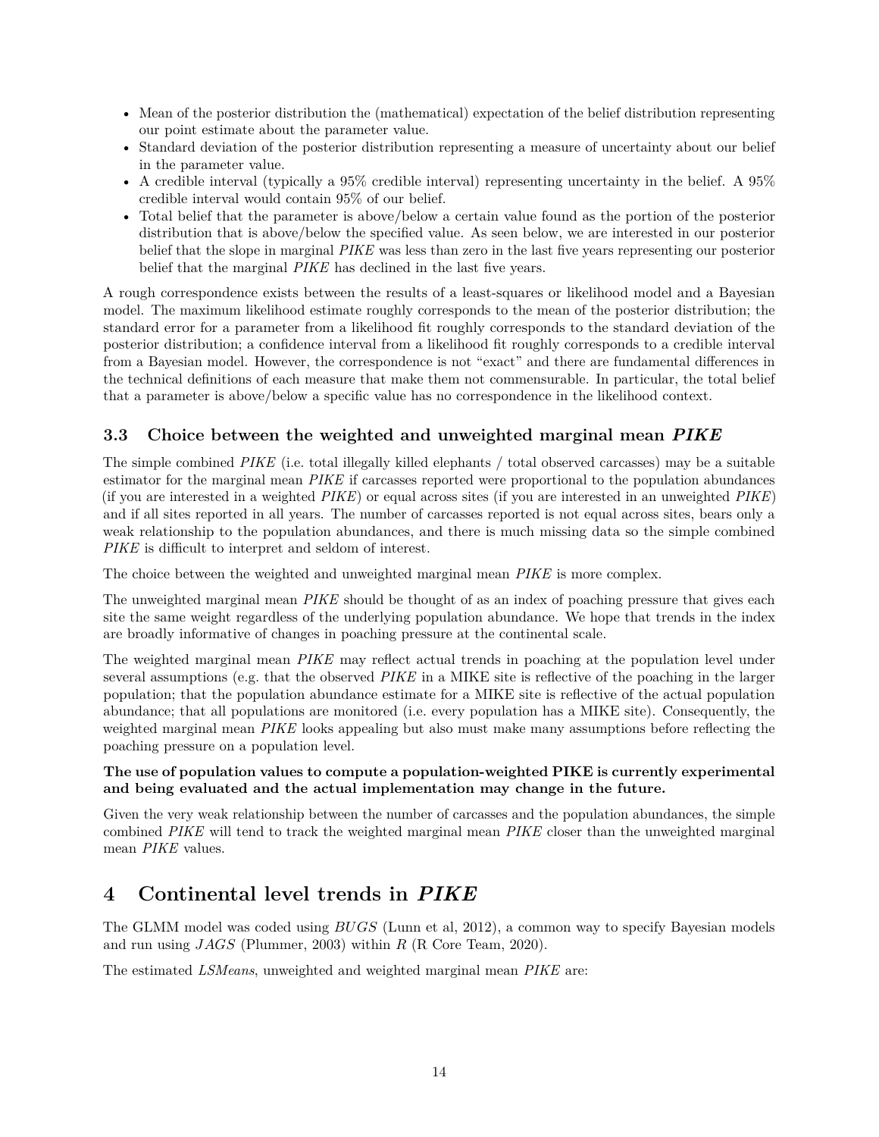- Mean of the posterior distribution the (mathematical) expectation of the belief distribution representing our point estimate about the parameter value.
- Standard deviation of the posterior distribution representing a measure of uncertainty about our belief in the parameter value.
- A credible interval (typically a 95% credible interval) representing uncertainty in the belief. A 95% credible interval would contain 95% of our belief.
- Total belief that the parameter is above/below a certain value found as the portion of the posterior distribution that is above/below the specified value. As seen below, we are interested in our posterior belief that the slope in marginal *PIKE* was less than zero in the last five years representing our posterior belief that the marginal *PIKE* has declined in the last five years.

A rough correspondence exists between the results of a least-squares or likelihood model and a Bayesian model. The maximum likelihood estimate roughly corresponds to the mean of the posterior distribution; the standard error for a parameter from a likelihood fit roughly corresponds to the standard deviation of the posterior distribution; a confidence interval from a likelihood fit roughly corresponds to a credible interval from a Bayesian model. However, the correspondence is not "exact" and there are fundamental differences in the technical definitions of each measure that make them not commensurable. In particular, the total belief that a parameter is above/below a specific value has no correspondence in the likelihood context.

### <span id="page-13-0"></span>**3.3 Choice between the weighted and unweighted marginal mean** *PIKE*

The simple combined *PIKE* (i.e. total illegally killed elephants / total observed carcasses) may be a suitable estimator for the marginal mean *PIKE* if carcasses reported were proportional to the population abundances (if you are interested in a weighted *PIKE*) or equal across sites (if you are interested in an unweighted *PIKE*) and if all sites reported in all years. The number of carcasses reported is not equal across sites, bears only a weak relationship to the population abundances, and there is much missing data so the simple combined *PIKE* is difficult to interpret and seldom of interest.

The choice between the weighted and unweighted marginal mean *PIKE* is more complex.

The unweighted marginal mean *PIKE* should be thought of as an index of poaching pressure that gives each site the same weight regardless of the underlying population abundance. We hope that trends in the index are broadly informative of changes in poaching pressure at the continental scale.

The weighted marginal mean *PIKE* may reflect actual trends in poaching at the population level under several assumptions (e.g. that the observed *PIKE* in a MIKE site is reflective of the poaching in the larger population; that the population abundance estimate for a MIKE site is reflective of the actual population abundance; that all populations are monitored (i.e. every population has a MIKE site). Consequently, the weighted marginal mean *PIKE* looks appealing but also must make many assumptions before reflecting the poaching pressure on a population level.

#### **The use of population values to compute a population-weighted PIKE is currently experimental and being evaluated and the actual implementation may change in the future.**

Given the very weak relationship between the number of carcasses and the population abundances, the simple combined *PIKE* will tend to track the weighted marginal mean *PIKE* closer than the unweighted marginal mean *PIKE* values.

## <span id="page-13-1"></span>**4 Continental level trends in** *PIKE*

The GLMM model was coded using *BUGS* (Lunn et al, 2012), a common way to specify Bayesian models and run using *JAGS* (Plummer, 2003) within *R* (R Core Team, 2020).

The estimated *LSMeans*, unweighted and weighted marginal mean *PIKE* are: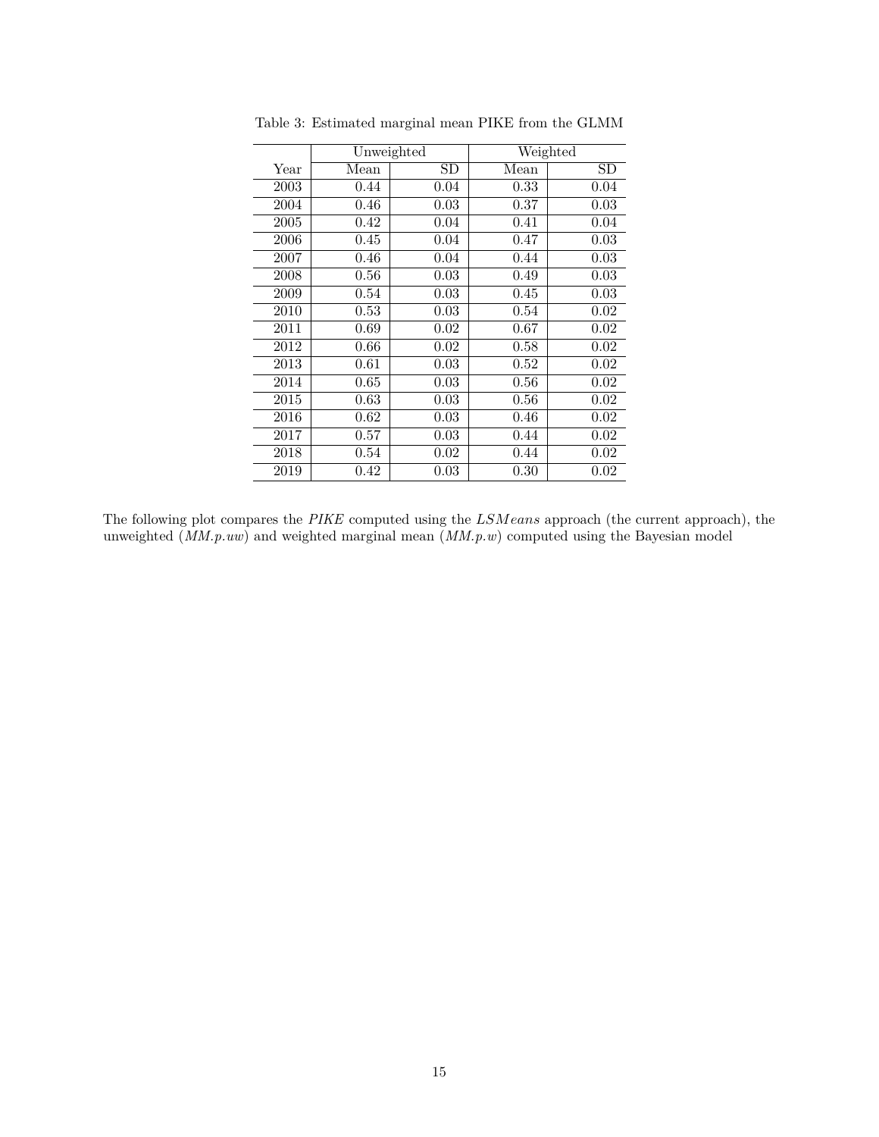|      | Unweighted |      |                          | Weighted |  |
|------|------------|------|--------------------------|----------|--|
| Year | Mean       | SD   | $\overline{\text{Mean}}$ | SD       |  |
| 2003 | 0.44       | 0.04 | 0.33                     | 0.04     |  |
| 2004 | 0.46       | 0.03 | 0.37                     | 0.03     |  |
| 2005 | 0.42       | 0.04 | 0.41                     | 0.04     |  |
| 2006 | 0.45       | 0.04 | 0.47                     | 0.03     |  |
| 2007 | 0.46       | 0.04 | 0.44                     | 0.03     |  |
| 2008 | 0.56       | 0.03 | 0.49                     | 0.03     |  |
| 2009 | 0.54       | 0.03 | 0.45                     | 0.03     |  |
| 2010 | 0.53       | 0.03 | 0.54                     | 0.02     |  |
| 2011 | 0.69       | 0.02 | 0.67                     | 0.02     |  |
| 2012 | 0.66       | 0.02 | 0.58                     | 0.02     |  |
| 2013 | 0.61       | 0.03 | 0.52                     | 0.02     |  |
| 2014 | 0.65       | 0.03 | 0.56                     | 0.02     |  |
| 2015 | 0.63       | 0.03 | 0.56                     | 0.02     |  |
| 2016 | 0.62       | 0.03 | 0.46                     | 0.02     |  |
| 2017 | 0.57       | 0.03 | 0.44                     | 0.02     |  |
| 2018 | 0.54       | 0.02 | 0.44                     | 0.02     |  |
| 2019 | 0.42       | 0.03 | 0.30                     | 0.02     |  |

Table 3: Estimated marginal mean PIKE from the GLMM

The following plot compares the *PIKE* computed using the *LSMeans* approach (the current approach), the unweighted (*MM.p.uw*) and weighted marginal mean (*MM.p.w*) computed using the Bayesian model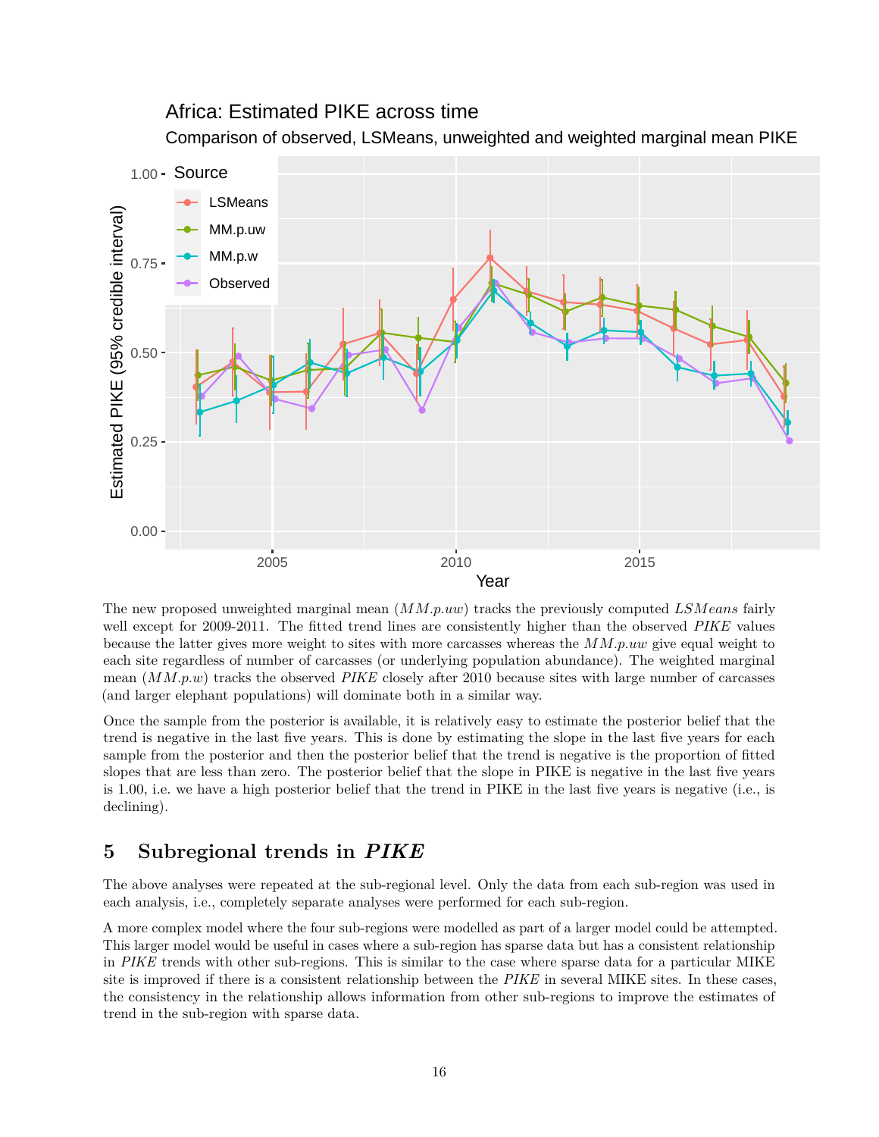## Africa: Estimated PIKE across time

Comparison of observed, LSMeans, unweighted and weighted marginal mean PIKE



The new proposed unweighted marginal mean (*MM.p.uw*) tracks the previously computed *LSMeans* fairly well except for 2009-2011. The fitted trend lines are consistently higher than the observed *PIKE* values because the latter gives more weight to sites with more carcasses whereas the *MM.p.uw* give equal weight to each site regardless of number of carcasses (or underlying population abundance). The weighted marginal mean (*MM.p.w*) tracks the observed *PIKE* closely after 2010 because sites with large number of carcasses (and larger elephant populations) will dominate both in a similar way.

Once the sample from the posterior is available, it is relatively easy to estimate the posterior belief that the trend is negative in the last five years. This is done by estimating the slope in the last five years for each sample from the posterior and then the posterior belief that the trend is negative is the proportion of fitted slopes that are less than zero. The posterior belief that the slope in PIKE is negative in the last five years is 1.00, i.e. we have a high posterior belief that the trend in PIKE in the last five years is negative (i.e., is declining).

## <span id="page-15-0"></span>**5 Subregional trends in** *PIKE*

The above analyses were repeated at the sub-regional level. Only the data from each sub-region was used in each analysis, i.e., completely separate analyses were performed for each sub-region.

A more complex model where the four sub-regions were modelled as part of a larger model could be attempted. This larger model would be useful in cases where a sub-region has sparse data but has a consistent relationship in *PIKE* trends with other sub-regions. This is similar to the case where sparse data for a particular MIKE site is improved if there is a consistent relationship between the *PIKE* in several MIKE sites. In these cases, the consistency in the relationship allows information from other sub-regions to improve the estimates of trend in the sub-region with sparse data.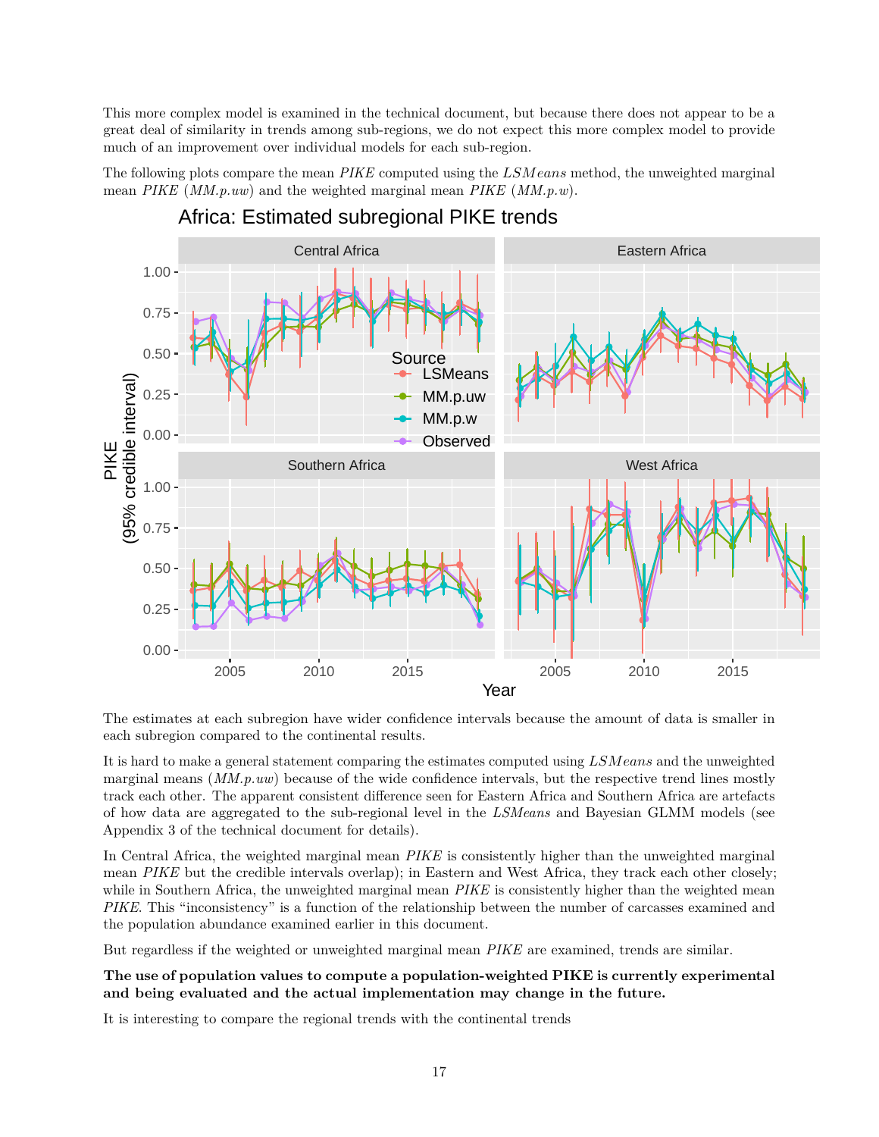This more complex model is examined in the technical document, but because there does not appear to be a great deal of similarity in trends among sub-regions, we do not expect this more complex model to provide much of an improvement over individual models for each sub-region.

The following plots compare the mean *PIKE* computed using the *LSMeans* method, the unweighted marginal mean *PIKE* (*MM.p.uw*) and the weighted marginal mean *PIKE* (*MM.p.w*).



## Africa: Estimated subregional PIKE trends

The estimates at each subregion have wider confidence intervals because the amount of data is smaller in each subregion compared to the continental results.

It is hard to make a general statement comparing the estimates computed using *LSMeans* and the unweighted marginal means (*MM.p.uw*) because of the wide confidence intervals, but the respective trend lines mostly track each other. The apparent consistent difference seen for Eastern Africa and Southern Africa are artefacts of how data are aggregated to the sub-regional level in the *LSMeans* and Bayesian GLMM models (see Appendix 3 of the technical document for details).

In Central Africa, the weighted marginal mean *PIKE* is consistently higher than the unweighted marginal mean *PIKE* but the credible intervals overlap); in Eastern and West Africa, they track each other closely; while in Southern Africa, the unweighted marginal mean *PIKE* is consistently higher than the weighted mean *PIKE*. This "inconsistency" is a function of the relationship between the number of carcasses examined and the population abundance examined earlier in this document.

But regardless if the weighted or unweighted marginal mean *PIKE* are examined, trends are similar.

#### **The use of population values to compute a population-weighted PIKE is currently experimental and being evaluated and the actual implementation may change in the future.**

It is interesting to compare the regional trends with the continental trends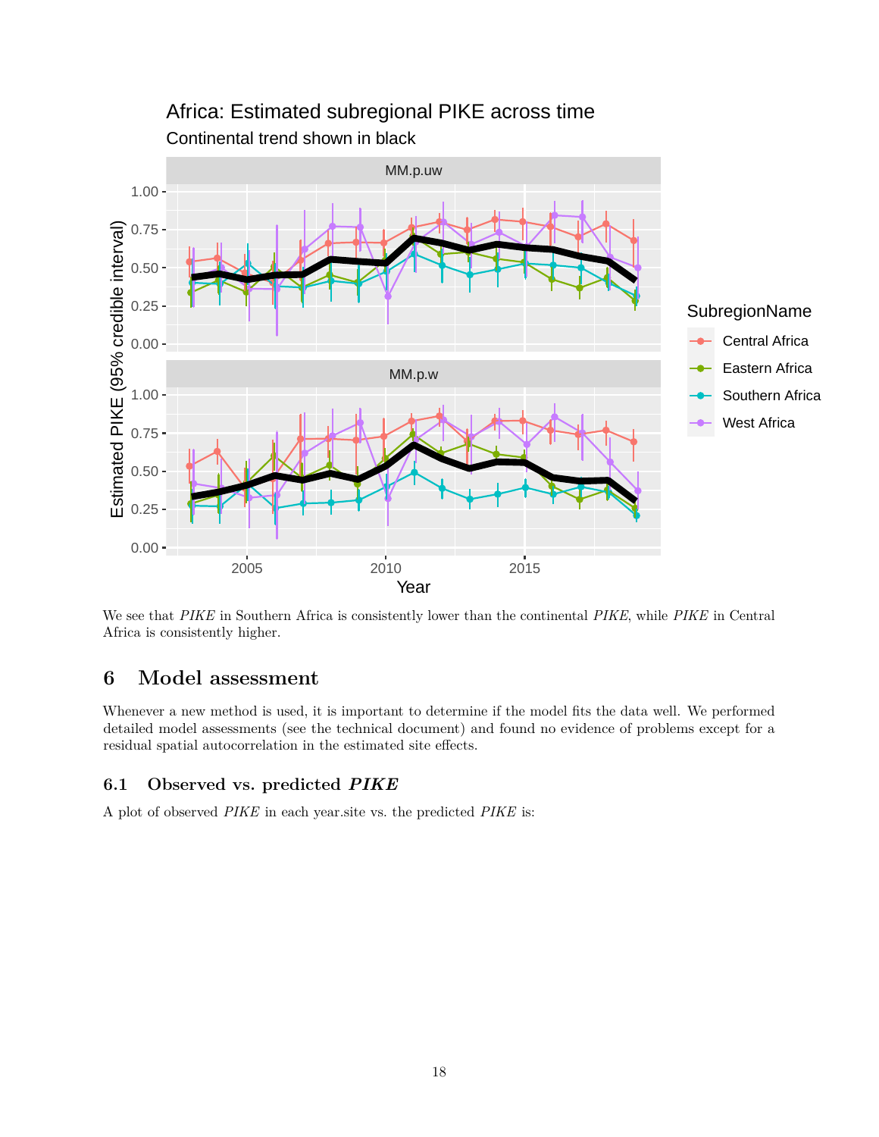

## Continental trend shown in black Africa: Estimated subregional PIKE across time

We see that *PIKE* in Southern Africa is consistently lower than the continental *PIKE*, while *PIKE* in Central Africa is consistently higher.

## <span id="page-17-0"></span>**6 Model assessment**

Whenever a new method is used, it is important to determine if the model fits the data well. We performed detailed model assessments (see the technical document) and found no evidence of problems except for a residual spatial autocorrelation in the estimated site effects.

### <span id="page-17-1"></span>**6.1 Observed vs. predicted** *PIKE*

A plot of observed *PIKE* in each year.site vs. the predicted *PIKE* is: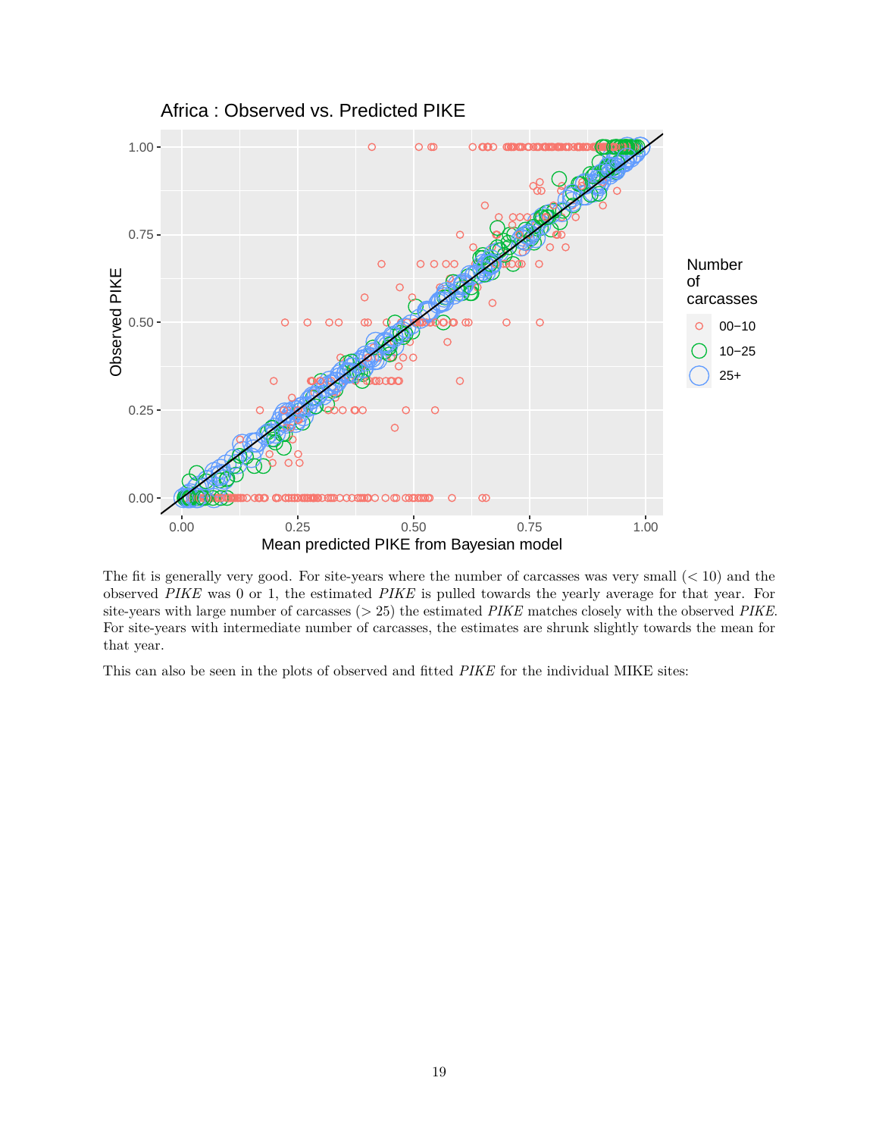

The fit is generally very good. For site-years where the number of carcasses was very small (*<* 10) and the observed *PIKE* was 0 or 1, the estimated *PIKE* is pulled towards the yearly average for that year. For site-years with large number of carcasses (*>* 25) the estimated *PIKE* matches closely with the observed *PIKE*. For site-years with intermediate number of carcasses, the estimates are shrunk slightly towards the mean for that year.

This can also be seen in the plots of observed and fitted *PIKE* for the individual MIKE sites: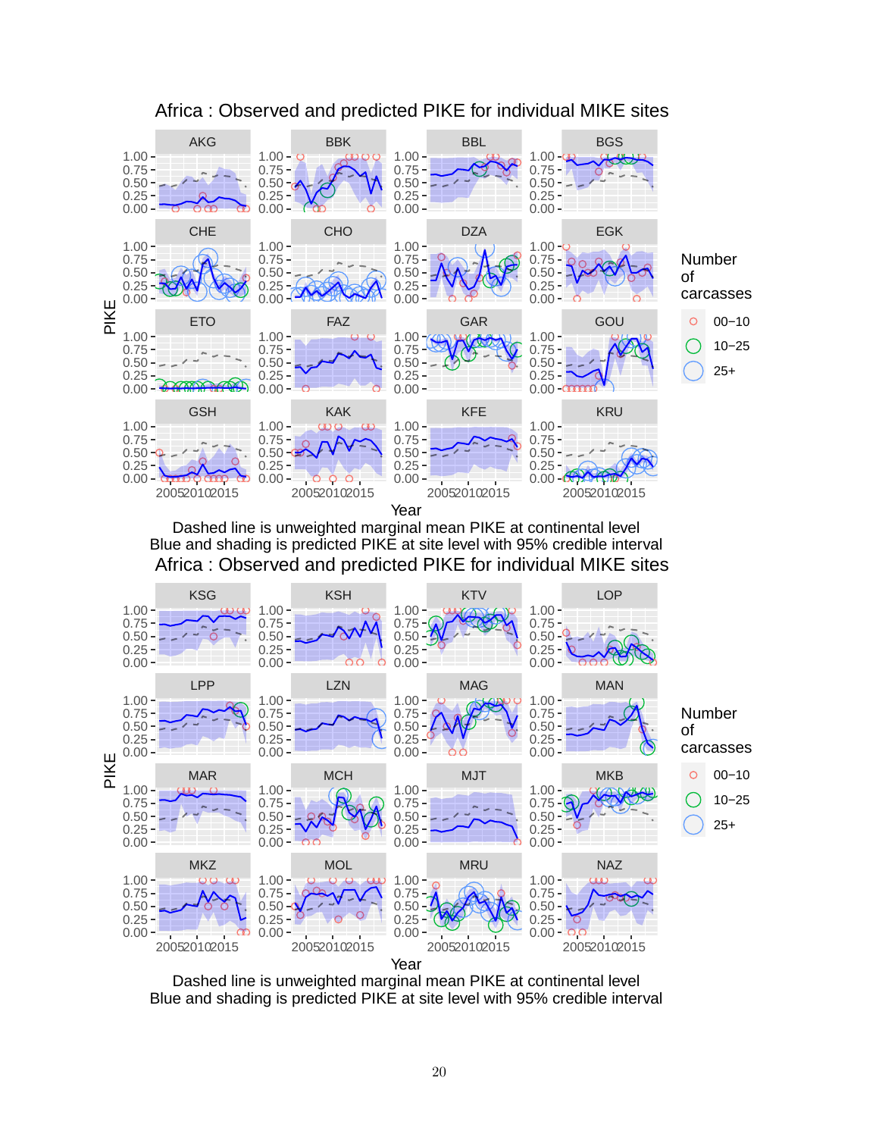

## Africa : Observed and predicted PIKE for individual MIKE sites

Dashed line is unweighted marginal mean PIKE at continental level Blue and shading is predicted PIKE at site level with 95% credible interval Africa : Observed and predicted PIKE for individual MIKE sites



Dashed line is unweighted marginal mean PIKE at continental level Blue and shading is predicted PIKE at site level with 95% credible interval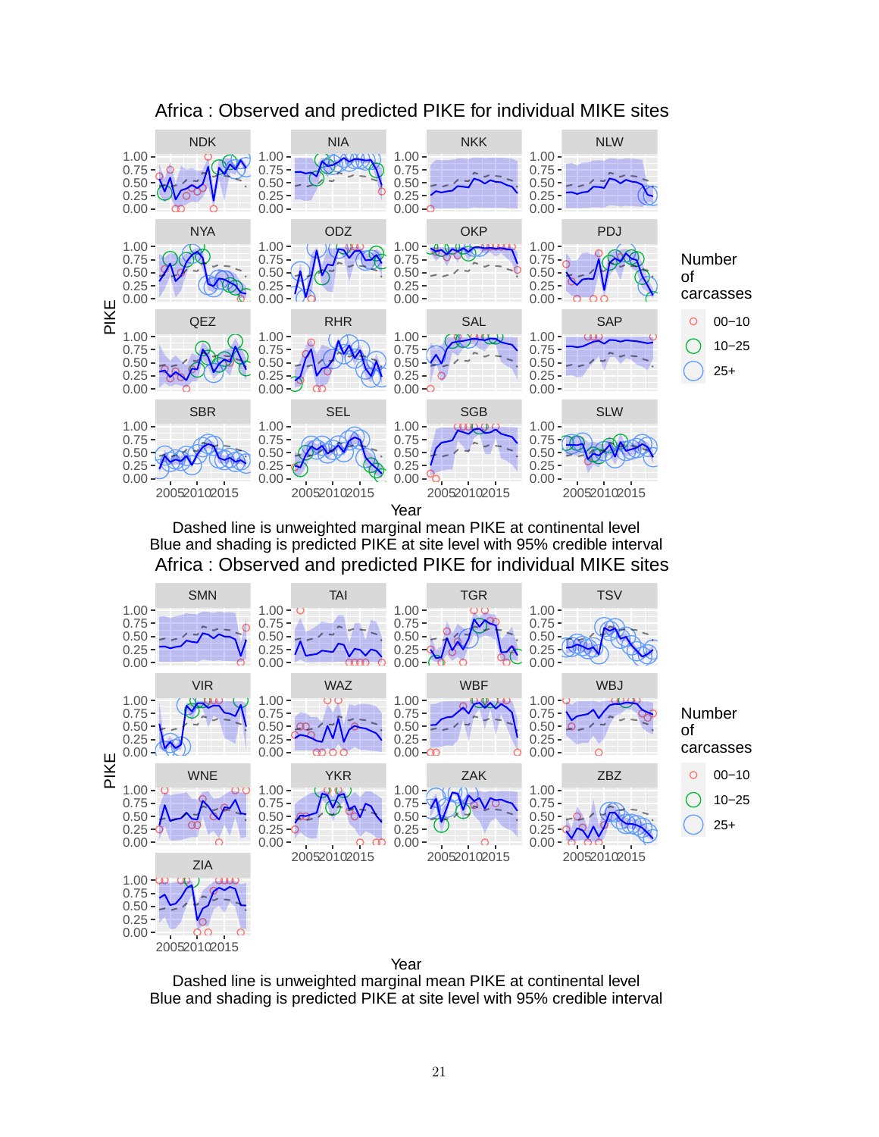

## Africa : Observed and predicted PIKE for individual MIKE sites

Dashed line is unweighted marginal mean PIKE at continental level Blue and shading is predicted PIKE at site level with 95% credible interval Africa : Observed and predicted PIKE for individual MIKE sites



Dashed line is unweighted marginal mean PIKE at continental level Blue and shading is predicted PIKE at site level with 95% credible interval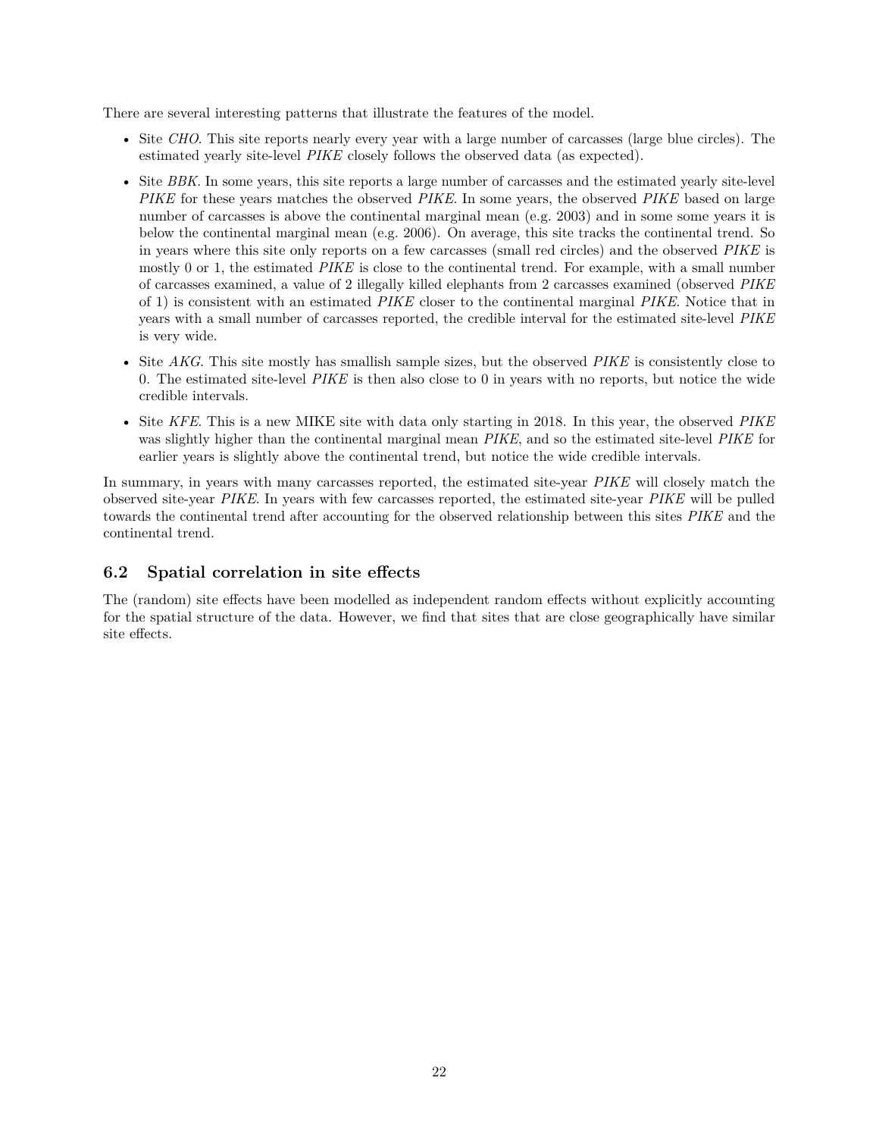There are several interesting patterns that illustrate the features of the model.

- Site *CHO*. This site reports nearly every year with a large number of carcasses (large blue circles). The estimated yearly site-level *PIKE* closely follows the observed data (as expected).
- Site *BBK*. In some years, this site reports a large number of carcasses and the estimated yearly site-level *PIKE* for these years matches the observed *PIKE*. In some years, the observed *PIKE* based on large number of carcasses is above the continental marginal mean (e.g. 2003) and in some some years it is below the continental marginal mean (e.g. 2006). On average, this site tracks the continental trend. So in years where this site only reports on a few carcasses (small red circles) and the observed *PIKE* is mostly 0 or 1, the estimated *PIKE* is close to the continental trend. For example, with a small number of carcasses examined, a value of 2 illegally killed elephants from 2 carcasses examined (observed *PIKE* of 1) is consistent with an estimated *PIKE* closer to the continental marginal *PIKE*. Notice that in years with a small number of carcasses reported, the credible interval for the estimated site-level *PIKE* is very wide.
- Site *AKG*. This site mostly has smallish sample sizes, but the observed *PIKE* is consistently close to 0. The estimated site-level *PIKE* is then also close to 0 in years with no reports, but notice the wide credible intervals.
- Site *KFE*. This is a new MIKE site with data only starting in 2018. In this year, the observed *PIKE* was slightly higher than the continental marginal mean *PIKE*, and so the estimated site-level *PIKE* for earlier years is slightly above the continental trend, but notice the wide credible intervals.

In summary, in years with many carcasses reported, the estimated site-year *PIKE* will closely match the observed site-year *PIKE*. In years with few carcasses reported, the estimated site-year *PIKE* will be pulled towards the continental trend after accounting for the observed relationship between this sites *PIKE* and the continental trend.

### <span id="page-21-0"></span>**6.2 Spatial correlation in site effects**

The (random) site effects have been modelled as independent random effects without explicitly accounting for the spatial structure of the data. However, we find that sites that are close geographically have similar site effects.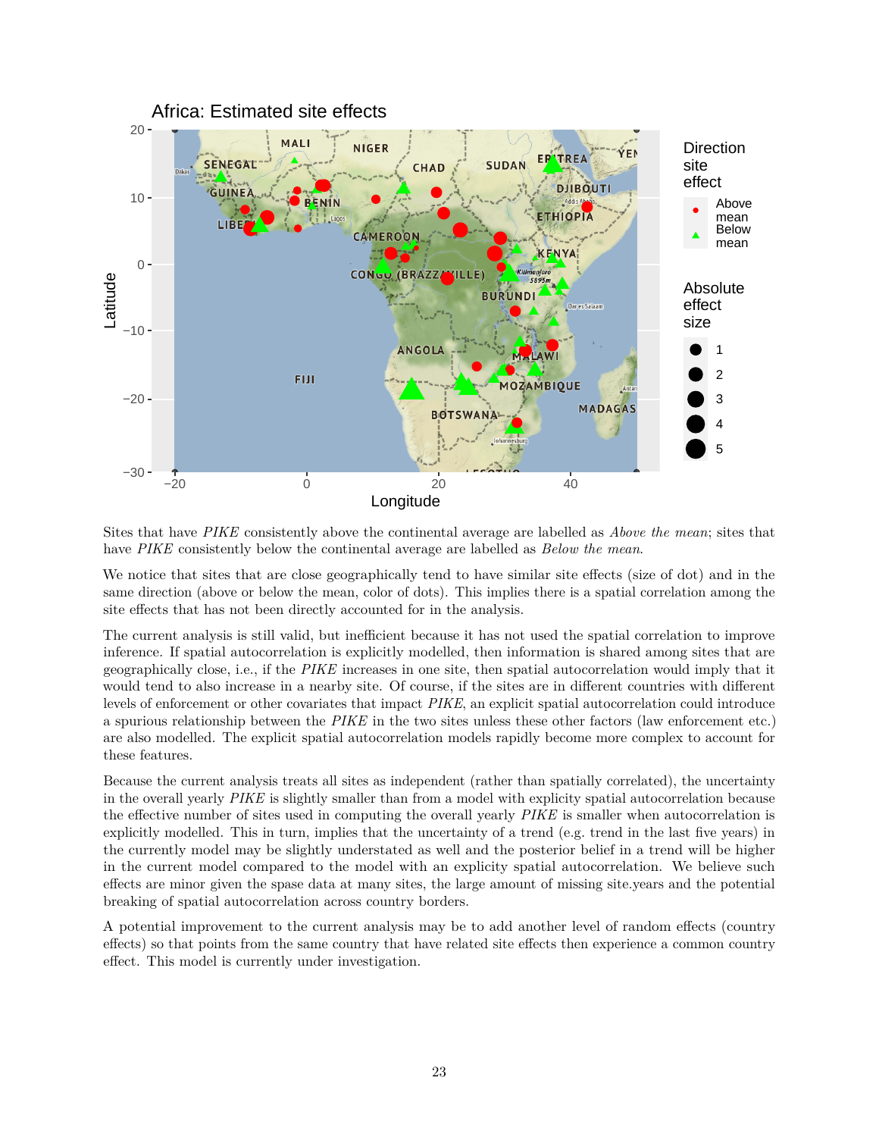

Sites that have *PIKE* consistently above the continental average are labelled as *Above the mean*; sites that have *PIKE* consistently below the continental average are labelled as *Below the mean*.

We notice that sites that are close geographically tend to have similar site effects (size of dot) and in the same direction (above or below the mean, color of dots). This implies there is a spatial correlation among the site effects that has not been directly accounted for in the analysis.

The current analysis is still valid, but inefficient because it has not used the spatial correlation to improve inference. If spatial autocorrelation is explicitly modelled, then information is shared among sites that are geographically close, i.e., if the *PIKE* increases in one site, then spatial autocorrelation would imply that it would tend to also increase in a nearby site. Of course, if the sites are in different countries with different levels of enforcement or other covariates that impact *PIKE*, an explicit spatial autocorrelation could introduce a spurious relationship between the *PIKE* in the two sites unless these other factors (law enforcement etc.) are also modelled. The explicit spatial autocorrelation models rapidly become more complex to account for these features.

Because the current analysis treats all sites as independent (rather than spatially correlated), the uncertainty in the overall yearly *PIKE* is slightly smaller than from a model with explicity spatial autocorrelation because the effective number of sites used in computing the overall yearly *PIKE* is smaller when autocorrelation is explicitly modelled. This in turn, implies that the uncertainty of a trend (e.g. trend in the last five years) in the currently model may be slightly understated as well and the posterior belief in a trend will be higher in the current model compared to the model with an explicity spatial autocorrelation. We believe such effects are minor given the spase data at many sites, the large amount of missing site.years and the potential breaking of spatial autocorrelation across country borders.

A potential improvement to the current analysis may be to add another level of random effects (country effects) so that points from the same country that have related site effects then experience a common country effect. This model is currently under investigation.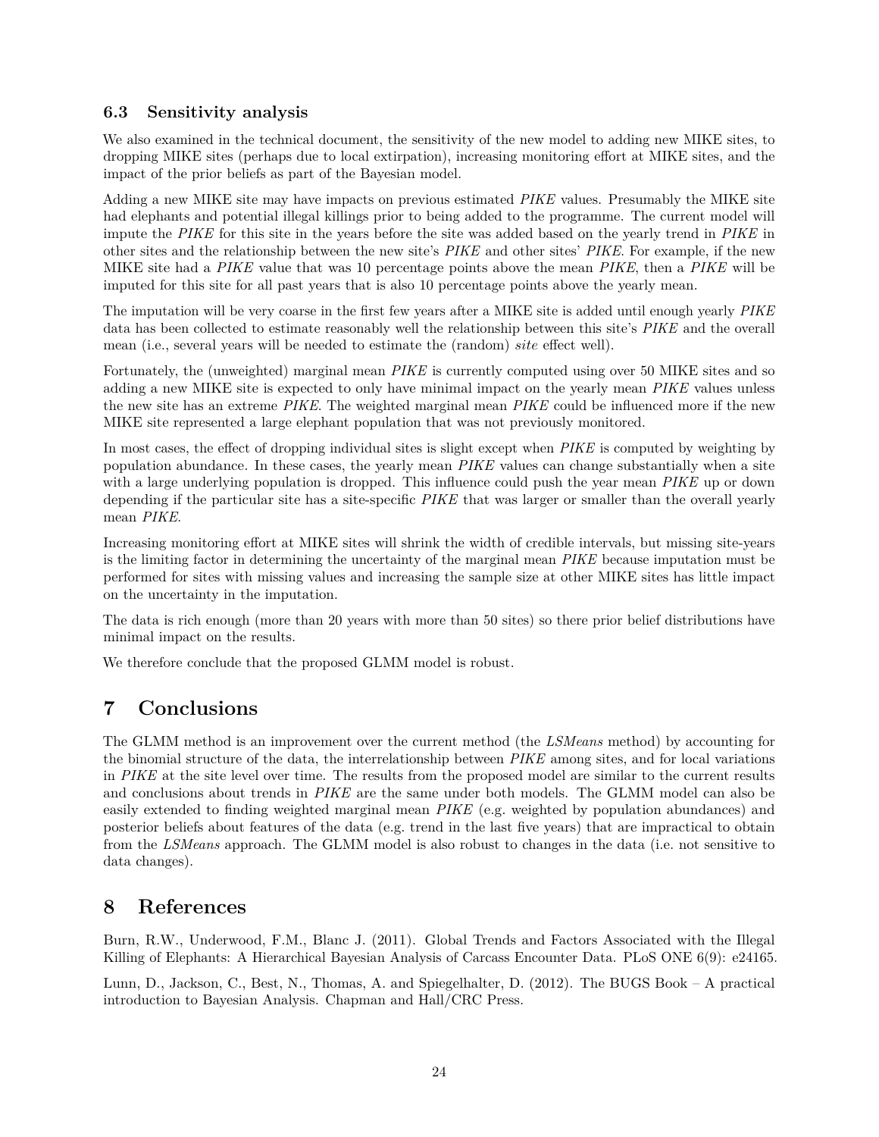### <span id="page-23-0"></span>**6.3 Sensitivity analysis**

We also examined in the technical document, the sensitivity of the new model to adding new MIKE sites, to dropping MIKE sites (perhaps due to local extirpation), increasing monitoring effort at MIKE sites, and the impact of the prior beliefs as part of the Bayesian model.

Adding a new MIKE site may have impacts on previous estimated *PIKE* values. Presumably the MIKE site had elephants and potential illegal killings prior to being added to the programme. The current model will impute the *PIKE* for this site in the years before the site was added based on the yearly trend in *PIKE* in other sites and the relationship between the new site's *PIKE* and other sites' *PIKE*. For example, if the new MIKE site had a *PIKE* value that was 10 percentage points above the mean *PIKE*, then a *PIKE* will be imputed for this site for all past years that is also 10 percentage points above the yearly mean.

The imputation will be very coarse in the first few years after a MIKE site is added until enough yearly *PIKE* data has been collected to estimate reasonably well the relationship between this site's *PIKE* and the overall mean (i.e., several years will be needed to estimate the (random) *site* effect well).

Fortunately, the (unweighted) marginal mean *PIKE* is currently computed using over 50 MIKE sites and so adding a new MIKE site is expected to only have minimal impact on the yearly mean *PIKE* values unless the new site has an extreme *PIKE*. The weighted marginal mean *PIKE* could be influenced more if the new MIKE site represented a large elephant population that was not previously monitored.

In most cases, the effect of dropping individual sites is slight except when *PIKE* is computed by weighting by population abundance. In these cases, the yearly mean *PIKE* values can change substantially when a site with a large underlying population is dropped. This influence could push the year mean *PIKE* up or down depending if the particular site has a site-specific *PIKE* that was larger or smaller than the overall yearly mean *PIKE*.

Increasing monitoring effort at MIKE sites will shrink the width of credible intervals, but missing site-years is the limiting factor in determining the uncertainty of the marginal mean *PIKE* because imputation must be performed for sites with missing values and increasing the sample size at other MIKE sites has little impact on the uncertainty in the imputation.

The data is rich enough (more than 20 years with more than 50 sites) so there prior belief distributions have minimal impact on the results.

We therefore conclude that the proposed GLMM model is robust.

## <span id="page-23-1"></span>**7 Conclusions**

The GLMM method is an improvement over the current method (the *LSMeans* method) by accounting for the binomial structure of the data, the interrelationship between *PIKE* among sites, and for local variations in *PIKE* at the site level over time. The results from the proposed model are similar to the current results and conclusions about trends in *PIKE* are the same under both models. The GLMM model can also be easily extended to finding weighted marginal mean *PIKE* (e.g. weighted by population abundances) and posterior beliefs about features of the data (e.g. trend in the last five years) that are impractical to obtain from the *LSMeans* approach. The GLMM model is also robust to changes in the data (i.e. not sensitive to data changes).

## <span id="page-23-2"></span>**8 References**

Burn, R.W., Underwood, F.M., Blanc J. (2011). Global Trends and Factors Associated with the Illegal Killing of Elephants: A Hierarchical Bayesian Analysis of Carcass Encounter Data. PLoS ONE 6(9): e24165.

Lunn, D., Jackson, C., Best, N., Thomas, A. and Spiegelhalter, D. (2012). The BUGS Book – A practical introduction to Bayesian Analysis. Chapman and Hall/CRC Press.